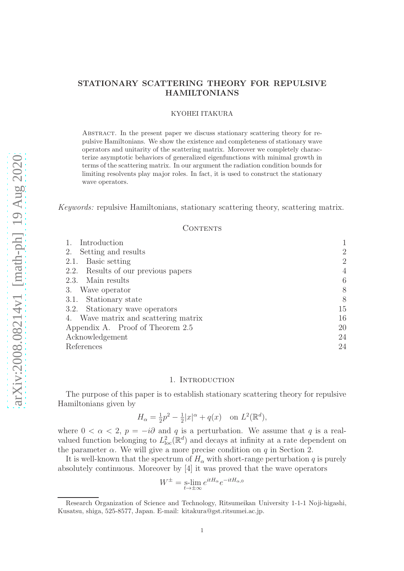## STATIONARY SCATTERING THEORY FOR REPULSIVE HAMILTONIANS

### KYOHEI ITAKURA

Abstract. In the present paper we discuss stationary scattering theory for repulsive Hamiltonians. We show the existence and completeness of stationary wave operators and unitarity of the scattering matrix. Moreover we completely characterize asymptotic behaviors of generalized eigenfunctions with minimal growth in terms of the scattering matrix. In our argument the radiation condition bounds for limiting resolvents play major roles. In fact, it is used to construct the stationary wave operators.

Keywords: repulsive Hamiltonians, stationary scattering theory, scattering matrix.

### CONTENTS

| Introduction                         |                |
|--------------------------------------|----------------|
| Setting and results<br>2.            | $\overline{2}$ |
| 2.1. Basic setting                   | $\overline{2}$ |
| 2.2. Results of our previous papers  | $\overline{4}$ |
| 2.3. Main results                    | 6              |
| 3. Wave operator                     | 8              |
| 3.1. Stationary state                | 8              |
| 3.2. Stationary wave operators       | 15             |
| 4. Wave matrix and scattering matrix | 16             |
| Appendix A. Proof of Theorem 2.5     | 20             |
| Acknowledgement                      | 24             |
| References                           | 24             |

### 1. INTRODUCTION

The purpose of this paper is to establish stationary scattering theory for repulsive Hamiltonians given by

$$
H_{\alpha} = \frac{1}{2}p^2 - \frac{1}{2}|x|^{\alpha} + q(x) \quad \text{on } L^2(\mathbb{R}^d),
$$

where  $0 < \alpha < 2$ ,  $p = -i\partial$  and q is a perturbation. We assume that q is a realvalued function belonging to  $L^2_{\text{loc}}(\mathbb{R}^d)$  and decays at infinity at a rate dependent on the parameter  $\alpha$ . We will give a more precise condition on q in Section 2.

It is well-known that the spectrum of  $H_{\alpha}$  with short-range perturbation q is purely absolutely continuous. Moreover by [4] it was proved that the wave operators

$$
W^{\pm} = \operatorname*{s-lim}_{t \to \pm \infty} e^{itH_{\alpha}} e^{-itH_{\alpha,0}}
$$

Research Organization of Science and Technology, Ritsumeikan University 1-1-1 Noji-higashi, Kusatsu, shiga, 525-8577, Japan. E-mail: kitakura@gst.ritsumei.ac.jp.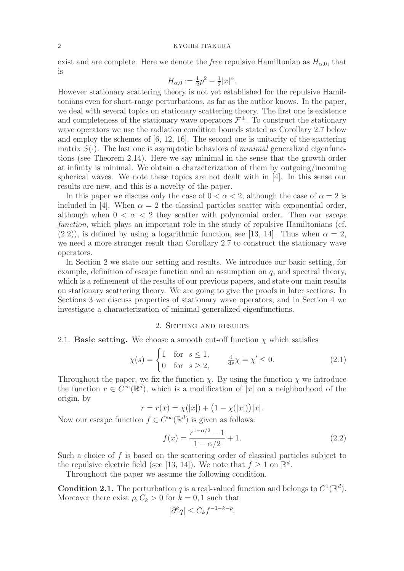### 2 KYOHEI ITAKURA

exist and are complete. Here we denote the *free* repulsive Hamiltonian as  $H_{\alpha,0}$ , that is

$$
H_{\alpha,0} := \frac{1}{2}p^2 - \frac{1}{2}|x|^{\alpha}.
$$

However stationary scattering theory is not yet established for the repulsive Hamiltonians even for short-range perturbations, as far as the author knows. In the paper, we deal with several topics on stationary scattering theory. The first one is existence and completeness of the stationary wave operators  $\mathcal{F}^{\pm}$ . To construct the stationary wave operators we use the radiation condition bounds stated as Corollary 2.7 below and employ the schemes of [6, 12, 16]. The second one is unitarity of the scattering matrix  $S(\cdot)$ . The last one is asymptotic behaviors of *minimal* generalized eigenfunctions (see Theorem 2.14). Here we say minimal in the sense that the growth order at infinity is minimal. We obtain a characterization of them by outgoing/incoming spherical waves. We note these topics are not dealt with in [4]. In this sense our results are new, and this is a novelty of the paper.

In this paper we discuss only the case of  $0 < \alpha < 2$ , although the case of  $\alpha = 2$  is included in [4]. When  $\alpha = 2$  the classical particles scatter with exponential order, although when  $0 < \alpha < 2$  they scatter with polynomial order. Then our *escape* function, which plays an important role in the study of repulsive Hamiltonians (cf.  $(2.2)$ , is defined by using a logarithmic function, see [13, 14]. Thus when  $\alpha = 2$ , we need a more stronger result than Corollary 2.7 to construct the stationary wave operators.

In Section 2 we state our setting and results. We introduce our basic setting, for example, definition of escape function and an assumption on  $q$ , and spectral theory, which is a refinement of the results of our previous papers, and state our main results on stationary scattering theory. We are going to give the proofs in later sections. In Sections 3 we discuss properties of stationary wave operators, and in Section 4 we investigate a characterization of minimal generalized eigenfunctions.

### 2. SETTING AND RESULTS

### 2.1. Basic setting. We choose a smooth cut-off function  $\chi$  which satisfies

$$
\chi(s) = \begin{cases} 1 & \text{for } s \le 1, \\ 0 & \text{for } s \ge 2, \end{cases} \qquad \frac{\mathrm{d}}{\mathrm{d}s} \chi = \chi' \le 0. \tag{2.1}
$$

Throughout the paper, we fix the function  $\chi$ . By using the function  $\chi$  we introduce the function  $r \in C^{\infty}(\mathbb{R}^d)$ , which is a modification of |x| on a neighborhood of the origin, by

$$
r = r(x) = \chi(|x|) + (1 - \chi(|x|))|x|.
$$

Now our escape function  $f \in C^{\infty}(\mathbb{R}^d)$  is given as follows:

$$
f(x) = \frac{r^{1-\alpha/2} - 1}{1 - \alpha/2} + 1.
$$
\n(2.2)

Such a choice of  $f$  is based on the scattering order of classical particles subject to the repulsive electric field (see [13, 14]). We note that  $f \geq 1$  on  $\mathbb{R}^d$ .

Throughout the paper we assume the following condition.

**Condition 2.1.** The perturbation q is a real-valued function and belongs to  $C^1(\mathbb{R}^d)$ . Moreover there exist  $\rho, C_k > 0$  for  $k = 0, 1$  such that

$$
|\partial^k q| \le C_k f^{-1-k-\rho}.
$$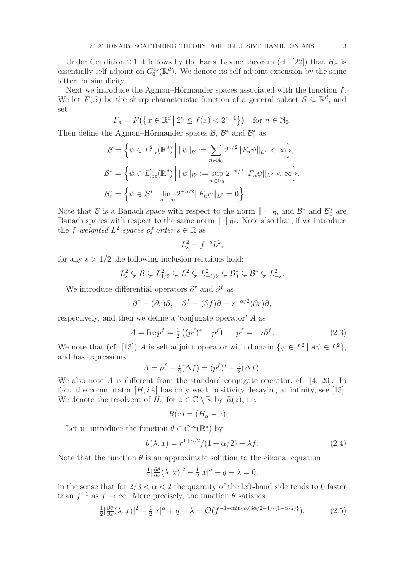Under Condition 2.1 it follows by the Faris–Lavine theorem (cf. [22]) that  $H_{\alpha}$  is essentially self-adjoint on  $C_0^{\infty}(\mathbb{R}^d)$ . We denote its self-adjoint extension by the same letter for simplicity.

Next we introduce the Agmon–Hörmander spaces associated with the function  $f$ . We let  $F(S)$  be the sharp characteristic function of a general subset  $S \subseteq \mathbb{R}^d$ , and set

$$
F_n = F(\{x \in \mathbb{R}^d \mid 2^n \le f(x) < 2^{n+1}\}) \quad \text{for } n \in \mathbb{N}_0.
$$

Then define the Agmon–Hörmander spaces  $\mathcal{B}, \mathcal{B}^*$  and  $\mathcal{B}_0^*$  as

$$
\mathcal{B} = \left\{ \psi \in L_{\text{loc}}^2(\mathbb{R}^d) \middle| \|\psi\|_{\mathcal{B}} := \sum_{n \in \mathbb{N}_0} 2^{n/2} \|F_n \psi\|_{L^2} < \infty \right\},
$$
\n
$$
\mathcal{B}^* = \left\{ \psi \in L_{\text{loc}}^2(\mathbb{R}^d) \middle| \|\psi\|_{\mathcal{B}^*} := \sup_{n \in \mathbb{N}_0} 2^{-n/2} \|F_n \psi\|_{L^2} < \infty \right\},
$$
\n
$$
\mathcal{B}_0^* = \left\{ \psi \in \mathcal{B}^* \middle| \lim_{n \to \infty} 2^{-n/2} \|F_n \psi\|_{L^2} = 0 \right\}.
$$

Note that  $\mathcal{B}$  is a Banach space with respect to the norm  $\|\cdot\|_{\mathcal{B}}$ , and  $\mathcal{B}^*$  and  $\mathcal{B}^*_{0}$  are Banach spaces with respect to the same norm  $\|\cdot\|_{\mathcal{B}^*}$ . Note also that, if we introduce the f-weighted  $L^2$ -spaces of order  $s \in \mathbb{R}$  as

$$
L_s^2 = f^{-s}L^2,
$$

for any  $s > 1/2$  the following inclusion relations hold:

$$
L_s^2 \subsetneq \mathcal{B} \subsetneq L_{1/2}^2 \subsetneq L^2 \subsetneq L_{-1/2}^2 \subsetneq \mathcal{B}_0^* \subsetneq \mathcal{B}^* \subsetneq L_{-s}^2.
$$

We introduce differential operators  $\partial^r$  and  $\partial^f$  as

$$
\partial^r = (\partial r)\partial, \quad \partial^f = (\partial f)\partial = r^{-\alpha/2}(\partial r)\partial,
$$

respectively, and then we define a 'conjugate operator' A as

$$
A = \text{Re } p^f = \frac{1}{2} ((p^f)^* + p^f), \quad p^f = -i \partial^f.
$$
 (2.3)

We note that (cf. [13]) A is self-adjoint operator with domain  $\{\psi \in L^2 | A\psi \in L^2\},\$ and has expressions

$$
A = p^{f} - \frac{i}{2}(\Delta f) = (p^{f})^* + \frac{i}{2}(\Delta f).
$$

We also note A is different from the standard conjugate operator, cf.  $[4, 20]$ . In fact, the commutator  $[H, iA]$  has only weak positivity decaying at infinity, see [13]. We denote the resolvent of  $H_{\alpha}$  for  $z \in \mathbb{C} \setminus \mathbb{R}$  by  $R(z)$ , i.e.,

$$
R(z) = (H_{\alpha} - z)^{-1}.
$$

Let us introduce the function  $\theta \in C^{\infty}(\mathbb{R}^d)$  by

$$
\theta(\lambda, x) = r^{1+\alpha/2}/(1+\alpha/2) + \lambda f. \tag{2.4}
$$

Note that the function  $\theta$  is an approximate solution to the eikonal equation

$$
\frac{1}{2}|\frac{\partial \theta}{\partial x}(\lambda, x)|^2 - \frac{1}{2}|x|^{\alpha} + q - \lambda = 0,
$$

in the sense that for  $2/3 < \alpha < 2$  the quantity of the left-hand side tends to 0 faster than  $f^{-1}$  as  $f \to \infty$ . More precisely, the function  $\theta$  satisfies

$$
\frac{1}{2}|\frac{\partial \theta}{\partial x}(\lambda, x)|^2 - \frac{1}{2}|x|^{\alpha} + q - \lambda = \mathcal{O}(f^{-1 - \min\{\rho, (3\alpha/2 - 1)/(1 - \alpha/2)\}}). \tag{2.5}
$$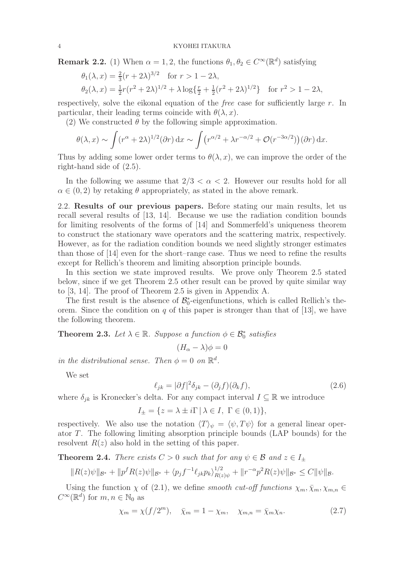**Remark 2.2.** (1) When  $\alpha = 1, 2$ , the functions  $\theta_1, \theta_2 \in C^{\infty}(\mathbb{R}^d)$  satisfying

$$
\theta_1(\lambda, x) = \frac{2}{3}(r + 2\lambda)^{3/2} \quad \text{for } r > 1 - 2\lambda,
$$
  
\n
$$
\theta_2(\lambda, x) = \frac{1}{2}r(r^2 + 2\lambda)^{1/2} + \lambda \log\left\{\frac{r}{2} + \frac{1}{2}(r^2 + 2\lambda)^{1/2}\right\} \quad \text{for } r^2 > 1 - 2\lambda,
$$

respectively, solve the eikonal equation of the *free* case for sufficiently large  $r$ . In particular, their leading terms coincide with  $\theta(\lambda, x)$ .

(2) We constructed  $\theta$  by the following simple approximation.

$$
\theta(\lambda, x) \sim \int (r^{\alpha} + 2\lambda)^{1/2} (\partial r) dx \sim \int (r^{\alpha/2} + \lambda r^{-\alpha/2} + \mathcal{O}(r^{-3\alpha/2})) (\partial r) dx.
$$

Thus by adding some lower order terms to  $\theta(\lambda, x)$ , we can improve the order of the right-hand side of (2.5).

In the following we assume that  $2/3 < \alpha < 2$ . However our results hold for all  $\alpha \in (0, 2)$  by retaking  $\theta$  appropriately, as stated in the above remark.

2.2. Results of our previous papers. Before stating our main results, let us recall several results of [13, 14]. Because we use the radiation condition bounds for limiting resolvents of the forms of [14] and Sommerfeld's uniqueness theorem to construct the stationary wave operators and the scattering matrix, respectively. However, as for the radiation condition bounds we need slightly stronger estimates than those of [14] even for the short–range case. Thus we need to refine the results except for Rellich's theorem and limiting absorption principle bounds.

In this section we state improved results. We prove only Theorem 2.5 stated below, since if we get Theorem 2.5 other result can be proved by quite similar way to [3, 14]. The proof of Theorem 2.5 is given in Appendix A.

The first result is the absence of  $\mathcal{B}_0^*$ -eigenfunctions, which is called Rellich's theorem. Since the condition on q of this paper is stronger than that of  $[13]$ , we have the following theorem.

**Theorem 2.3.** Let  $\lambda \in \mathbb{R}$ . Suppose a function  $\phi \in \mathcal{B}_0^*$  satisfies

$$
(H_{\alpha}-\lambda)\phi=0
$$

in the distributional sense. Then  $\phi = 0$  on  $\mathbb{R}^d$ .

We set

$$
\ell_{jk} = |\partial f|^2 \delta_{jk} - (\partial_j f)(\partial_k f), \qquad (2.6)
$$

where  $\delta_{ik}$  is Kronecker's delta. For any compact interval  $I \subseteq \mathbb{R}$  we introduce

 $I_{+} = \{z = \lambda \pm i\Gamma \,|\, \lambda \in I, \Gamma \in (0,1)\},\,$ 

respectively. We also use the notation  $\langle T \rangle_{\psi} = \langle \psi, T \psi \rangle$  for a general linear operator T. The following limiting absorption principle bounds (LAP bounds) for the resolvent  $R(z)$  also hold in the setting of this paper.

**Theorem 2.4.** There exists  $C > 0$  such that for any  $\psi \in \mathcal{B}$  and  $z \in I_{+}$ 

$$
||R(z)\psi||_{\mathcal{B}^*} + ||p^f R(z)\psi||_{\mathcal{B}^*} + \langle p_j f^{-1} \ell_{jk} p_k \rangle_{R(z)\psi}^{1/2} + ||r^{-\alpha} p^2 R(z)\psi||_{\mathcal{B}^*} \leq C ||\psi||_{\mathcal{B}}.
$$

Using the function  $\chi$  of (2.1), we define smooth cut-off functions  $\chi_m$ ,  $\bar{\chi}_m$ ,  $\chi_{m,n}$  $C^{\infty}(\mathbb{R}^d)$  for  $m, n \in \mathbb{N}_0$  as

$$
\chi_m = \chi(f/2^m), \quad \bar{\chi}_m = 1 - \chi_m, \quad \chi_{m,n} = \bar{\chi}_m \chi_n. \tag{2.7}
$$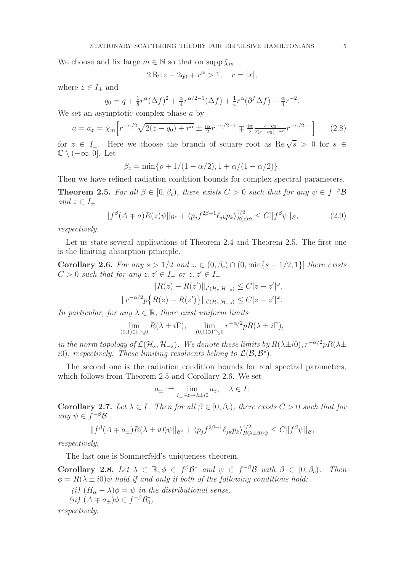We choose and fix large  $m \in \mathbb{N}$  so that on supp  $\bar{\chi}_m$ 

$$
2 \operatorname{Re} z - 2q_0 + r^{\alpha} > 1, \quad r = |x|,
$$

where  $z \in I_{\pm}$  and

$$
q_0 = q + \frac{1}{8}r^{\alpha}(\Delta f)^2 + \frac{\alpha}{4}r^{\alpha/2 - 1}(\Delta f) + \frac{1}{4}r^{\alpha}(\partial^f \Delta f) - \frac{\alpha}{4}r^{-2}.
$$

We set an asymptotic complex phase a by

$$
a = a_z = \bar{\chi}_m \left[ r^{-\alpha/2} \sqrt{2(z - q_0) + r^{\alpha}} \pm \frac{i\alpha}{2} r^{-\alpha/2 - 1} \mp \frac{i\alpha}{2} \frac{z - q_0}{2(z - q_0) + r^{\alpha}} r^{-\alpha/2 - 1} \right]
$$
(2.8)

for  $z \in I_{\pm}$ . Here we choose the branch of square root as  $\text{Re}\sqrt{s} > 0$  for  $s \in \mathbb{R}$ .  $\mathbb{C} \setminus (-\infty, 0]$ . Let

$$
\beta_c = \min\{\rho + 1/(1 - \alpha/2), 1 + \alpha/(1 - \alpha/2)\}.
$$

Then we have refined radiation condition bounds for complex spectral parameters.

**Theorem 2.5.** For all  $\beta \in [0, \beta_c)$ , there exists  $C > 0$  such that for any  $\psi \in f^{-\beta} \mathcal{B}$ and  $z \in I_{\pm}$ 

$$
||f^{\beta}(A \mp a)R(z)\psi||_{\mathcal{B}^*} + \langle p_j f^{2\beta - 1} \ell_{jk} p_k \rangle_{R(z)\psi}^{1/2} \le C ||f^{\beta}\psi||_{\mathcal{B}},
$$
 (2.9)

respectively.

Let us state several applications of Theorem 2.4 and Theorem 2.5. The first one is the limiting absorption principle.

Corollary 2.6. For any  $s > 1/2$  and  $\omega \in (0, \beta_c) \cap (0, \min\{s - 1/2, 1\}]$  there exists  $C > 0$  such that for any  $z, z' \in I_+$  or  $z, z' \in I_-$ 

$$
||R(z) - R(z')||_{\mathcal{L}(\mathcal{H}_s, \mathcal{H}_{-s})} \leq C|z - z'|^{\omega},
$$
  

$$
||r^{-\alpha/2}p\{R(z) - R(z')\}||_{\mathcal{L}(\mathcal{H}_s, \mathcal{H}_{-s})} \leq C|z - z'|^{\omega}.
$$

In particular, for any  $\lambda \in \mathbb{R}$ , there exist uniform limits

$$
\lim_{(0,1)\ni\Gamma\searrow 0} R(\lambda \pm i\Gamma), \quad \lim_{(0,1)\ni\Gamma\searrow 0} r^{-\alpha/2} p R(\lambda \pm i\Gamma),
$$

in the norm topology of  $\mathcal{L}(\mathcal{H}_s, \mathcal{H}_{-s})$ . We denote these limits by  $R(\lambda \pm i0), r^{-\alpha/2}pR(\lambda \pm i0)$ *i*(0), respectively. These limiting resolvents belong to  $\mathcal{L}(\mathcal{B}, \mathcal{B}^*)$ .

The second one is the radiation condition bounds for real spectral parameters, which follows from Theorem 2.5 and Corollary 2.6. We set

$$
a_{\pm} := \lim_{I_{\pm} \ni z \to \lambda \pm i0} a_z, \quad \lambda \in I.
$$

Corollary 2.7. Let  $\lambda \in I$ . Then for all  $\beta \in [0, \beta_c)$ , there exists  $C > 0$  such that for any  $\psi \in f^{-\beta} \mathcal{B}$ 

$$
||f^{\beta}(A \mp a_{\pm})R(\lambda \pm i0)\psi||_{\mathcal{B}^*} + \langle p_j f^{2\beta - 1} \ell_{jk} p_k \rangle_{R(\lambda \pm i0)\psi}^{1/2} \leq C||f^{\beta}\psi||_{\mathcal{B}},
$$

respectively.

The last one is Sommerfeld's uniqueness theorem.

Corollary 2.8. Let  $\lambda \in \mathbb{R}, \phi \in f^{\beta} \mathcal{B}^*$  and  $\psi \in f^{-\beta} \mathcal{B}$  with  $\beta \in [0, \beta_c)$ . Then  $\phi = R(\lambda \pm i0)\psi$  hold if and only if both of the following conditions hold:

- (i)  $(H_{\alpha} \lambda)\phi = \psi$  in the distributional sense.
- (*ii*)  $(A \mp a_{\pm})\phi \in f^{-\beta} \mathcal{B}_0^*$ ,

respectively.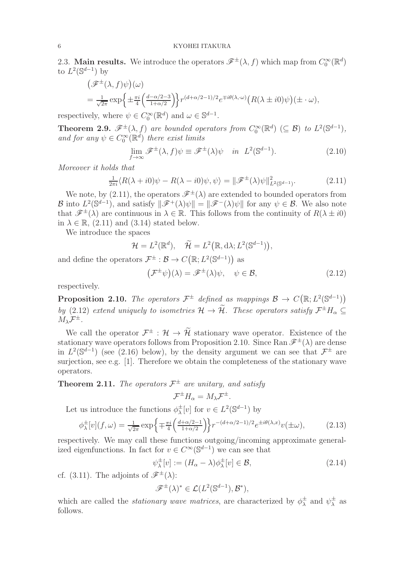2.3. Main results. We introduce the operators  $\mathscr{F}^{\pm}(\lambda, f)$  which map from  $C_0^{\infty}(\mathbb{R}^d)$ to  $L^2(\mathbb{S}^{d-1})$  by

$$
\begin{aligned} &\left(\mathscr{F}^{\pm}(\lambda,f)\psi\right)(\omega) \\ &= \frac{1}{\sqrt{2\pi}}\exp\left\{\pm\frac{\pi i}{4}\left(\frac{d-\alpha/2-3}{1+\alpha/2}\right)\right\}r^{(d+\alpha/2-1)/2}e^{\mp i\theta(\lambda,\cdot\omega)}\left(R(\lambda\pm i0)\psi\right)(\pm\cdot\omega), \end{aligned}
$$

respectively, where  $\psi \in C_0^{\infty}(\mathbb{R}^d)$  and  $\omega \in \mathbb{S}^{d-1}$ .

**Theorem 2.9.**  $\mathscr{F}^{\pm}(\lambda, f)$  are bounded operators from  $C_0^{\infty}(\mathbb{R}^d) \ (\subseteq \mathcal{B})$  to  $L^2(\mathbb{S}^{d-1})$ , and for any  $\psi \in C_0^{\infty}(\mathbb{R}^d)$  there exist limits

$$
\lim_{f \to \infty} \mathcal{F}^{\pm}(\lambda, f) \psi \equiv \mathcal{F}^{\pm}(\lambda) \psi \quad in \quad L^{2}(\mathbb{S}^{d-1}). \tag{2.10}
$$

Moreover it holds that

$$
\frac{1}{2\pi i} \langle R(\lambda + i0)\psi - R(\lambda - i0)\psi, \psi \rangle = ||\mathcal{F}^{\pm}(\lambda)\psi||_{L^2(\mathbb{S}^{d-1})}^2.
$$
 (2.11)

We note, by (2.11), the operators  $\mathscr{F}^{\pm}(\lambda)$  are extended to bounded operators from B into  $L^2(\mathbb{S}^{d-1})$ , and satisfy  $\|\mathscr{F}^+(\lambda)\psi\| = \|\mathscr{F}^-(\lambda)\psi\|$  for any  $\psi \in \mathcal{B}$ . We also note that  $\mathscr{F}^{\pm}(\lambda)$  are continuous in  $\lambda \in \mathbb{R}$ . This follows from the continuity of  $R(\lambda \pm i0)$ in  $\lambda \in \mathbb{R}$ , (2.11) and (3.14) stated below.

We introduce the spaces

$$
\mathcal{H} = L^2(\mathbb{R}^d), \quad \widetilde{\mathcal{H}} = L^2(\mathbb{R}, d\lambda; L^2(\mathbb{S}^{d-1})),
$$

and define the operators  $\mathcal{F}^{\pm} : \mathcal{B} \to C(\mathbb{R}; L^2(\mathbb{S}^{d-1}))$  as

$$
\left(\mathcal{F}^{\pm}\psi\right)(\lambda) = \mathcal{F}^{\pm}(\lambda)\psi, \quad \psi \in \mathcal{B},\tag{2.12}
$$

respectively.

**Proposition 2.10.** The operators  $\mathcal{F}^{\pm}$  defined as mappings  $\mathcal{B} \to C(\mathbb{R}; L^2(\mathbb{S}^{d-1}))$ by (2.12) extend uniquely to isometries  $\mathcal{H} \to \mathcal{H}$ . These operators satisfy  $\mathcal{F}^{\pm}H_{\alpha} \subseteq$  $M_{\lambda} \mathcal{F}^{\pm}$ .

We call the operator  $\mathcal{F}^{\pm}$ :  $\mathcal{H} \to \mathcal{H}$  stationary wave operator. Existence of the stationary wave operators follows from Proposition 2.10. Since Ran  $\mathscr{F}^{\pm}(\lambda)$  are dense in  $L^2(\mathbb{S}^{d-1})$  (see (2.16) below), by the density argument we can see that  $\mathcal{F}^{\pm}$  are surjection, see e.g. [1]. Therefore we obtain the completeness of the stationary wave operators.

# **Theorem 2.11.** The operators  $\mathcal{F}^{\pm}$  are unitary, and satisfy  $\mathcal{F}^{\pm}H_{\alpha}=M_{\lambda}\mathcal{F}^{\pm}.$

Let us introduce the functions  $\phi_{\lambda}^{\pm}[v]$  for  $v \in L^2(\mathbb{S}^{d-1})$  by

$$
\phi_{\lambda}^{\pm}[v](f,\omega) = \frac{1}{\sqrt{2\pi}} \exp\left\{\mp\frac{\pi i}{4} \left(\frac{d+\alpha/2-1}{1+\alpha/2}\right) \right\} r^{-(d+\alpha/2-1)/2} e^{\pm i\theta(\lambda,x)} v(\pm \omega),\tag{2.13}
$$

respectively. We may call these functions outgoing/incoming approximate generalized eigenfunctions. In fact for  $v \in C^{\infty}(\mathbb{S}^{d-1})$  we can see that

$$
\psi_{\lambda}^{\pm}[v] := (H_{\alpha} - \lambda)\phi_{\lambda}^{\pm}[v] \in \mathcal{B},\tag{2.14}
$$

cf. (3.11). The adjoints of  $\mathscr{F}^{\pm}(\lambda)$ :

$$
\mathscr{F}^{\pm}(\lambda)^{*} \in \mathcal{L}(L^{2}(\mathbb{S}^{d-1}), \mathcal{B}^{*}),
$$

which are called the *stationary wave matrices*, are characterized by  $\phi^{\pm}_{\lambda}$  and  $\psi^{\pm}_{\lambda}$  as follows.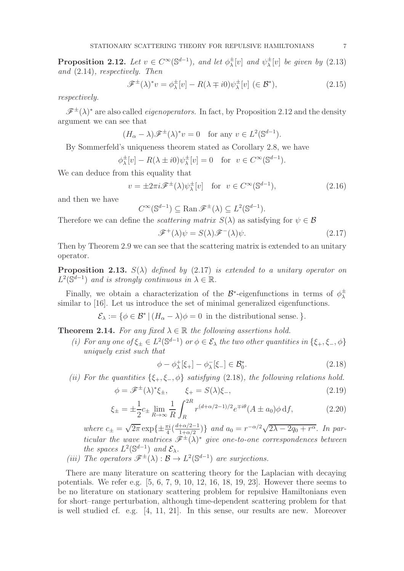**Proposition 2.12.** Let  $v oldsymbol{\in} C^{\infty}(\mathbb{S}^{d-1})$ , and let  $\phi_{\lambda}^{\pm}[v]$  and  $\psi_{\lambda}^{\pm}[v]$  be given by (2.13) and (2.14), respectively. Then

$$
\mathcal{F}^{\pm}(\lambda)^* v = \phi_{\lambda}^{\pm}[v] - R(\lambda \mp i0)\psi_{\lambda}^{\pm}[v] \ (\in \mathcal{B}^*), \tag{2.15}
$$

respectively.

 $\mathscr{F}^{\pm}(\lambda)^{*}$  are also called *eigenoperators*. In fact, by Proposition 2.12 and the density argument we can see that

$$
(H_{\alpha} - \lambda)\mathscr{F}^{\pm}(\lambda)^* v = 0
$$
 for any  $v \in L^2(\mathbb{S}^{d-1})$ .

By Sommerfeld's uniqueness theorem stated as Corollary 2.8, we have

$$
\phi_{\lambda}^{\pm}[v] - R(\lambda \pm i0)\psi_{\lambda}^{\pm}[v] = 0 \quad \text{for} \ \ v \in C^{\infty}(\mathbb{S}^{d-1}).
$$

We can deduce from this equality that

$$
v = \pm 2\pi i \mathcal{F}^{\pm}(\lambda)\psi_{\lambda}^{\pm}[v] \quad \text{for} \ \ v \in C^{\infty}(\mathbb{S}^{d-1}), \tag{2.16}
$$

and then we have

$$
C^{\infty}(\mathbb{S}^{d-1}) \subseteq \operatorname{Ran} \mathscr{F}^{\pm}(\lambda) \subseteq L^{2}(\mathbb{S}^{d-1}).
$$

Therefore we can define the *scattering matrix*  $S(\lambda)$  as satisfying for  $\psi \in \mathcal{B}$ 

$$
\mathcal{F}^+(\lambda)\psi = S(\lambda)\mathcal{F}^-(\lambda)\psi.
$$
 (2.17)

Then by Theorem 2.9 we can see that the scattering matrix is extended to an unitary operator.

**Proposition 2.13.**  $S(\lambda)$  defined by (2.17) is extended to a unitary operator on  $L^2(\mathbb{S}^{d-1})$  and is strongly continuous in  $\lambda \in \mathbb{R}$ .

Finally, we obtain a characterization of the  $\mathcal{B}^*$ -eigenfunctions in terms of  $\phi^{\pm}_{\lambda}$ similar to [16]. Let us introduce the set of minimal generalized eigenfunctions.

 $\mathcal{E}_{\lambda} := \{ \phi \in \mathcal{B}^* \mid (H_{\alpha} - \lambda)\phi = 0 \text{ in the distributional sense. } \}.$ 

**Theorem 2.14.** For any fixed  $\lambda \in \mathbb{R}$  the following assertions hold.

(i) For any one of  $\xi_{\pm} \in L^2(\mathbb{S}^{d-1})$  or  $\phi \in \mathcal{E}_{\lambda}$  the two other quantities in  $\{\xi_{+}, \xi_{-}, \phi\}$ uniquely exist such that

$$
\phi - \phi_{\lambda}^{+}[\xi_{+}] - \phi_{\lambda}^{-}[\xi_{-}] \in \mathcal{B}_{0}^{*}.
$$
\n(2.18)

(ii) For the quantities  $\{\xi_+,\xi_-,\phi\}$  satisfying (2.18), the following relations hold.

$$
\phi = \mathcal{F}^{\pm}(\lambda)^{*} \xi_{\pm}, \qquad \xi_{+} = S(\lambda) \xi_{-}, \tag{2.19}
$$

$$
\xi_{\pm} = \pm \frac{1}{2} c_{\pm} \lim_{R \to \infty} \frac{1}{R} \int_{R}^{2R} r^{(d+\alpha/2-1)/2} e^{\mp i\theta} (A \pm a_0) \phi \, df,\tag{2.20}
$$

where  $c_{\pm} = \sqrt{2\pi} \exp\{\pm \frac{\pi i}{4} (\frac{d + \alpha/2 - 1}{1 + \alpha/2})\}$  and  $a_0 = r^{-\alpha/2} \sqrt{2\lambda - 2q_0 + r^{\alpha}}$ . In particular the wave matrices  $\mathscr{F}^{\pm}(\lambda)^{*}$  give one-to-one correspondences between the spaces  $L^2(\mathbb{S}^{d-1})$  and  $\mathcal{E}_{\lambda}$ .

(iii) The operators  $\mathscr{F}^{\pm}(\lambda) : \mathcal{B} \to L^2(\mathbb{S}^{d-1})$  are surjections.

There are many literature on scattering theory for the Laplacian with decaying potentials. We refer e.g. [5, 6, 7, 9, 10, 12, 16, 18, 19, 23]. However there seems to be no literature on stationary scattering problem for repulsive Hamiltonians even for short–range perturbation, although time-dependent scattering problem for that is well studied cf. e.g. [4, 11, 21]. In this sense, our results are new. Moreover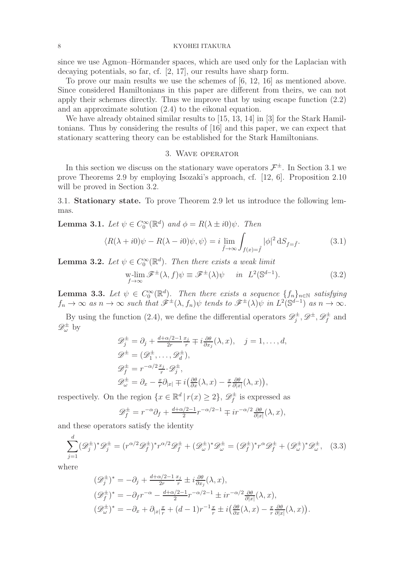since we use Agmon–Hörmander spaces, which are used only for the Laplacian with decaying potentials, so far, cf. [2, 17], our results have sharp form.

To prove our main results we use the schemes of [6, 12, 16] as mentioned above. Since considered Hamiltonians in this paper are different from theirs, we can not apply their schemes directly. Thus we improve that by using escape function (2.2) and an approximate solution (2.4) to the eikonal equation.

We have already obtained similar results to [15, 13, 14] in [3] for the Stark Hamiltonians. Thus by considering the results of [16] and this paper, we can expect that stationary scattering theory can be established for the Stark Hamiltonians.

## 3. Wave operator

In this section we discuss on the stationary wave operators  $\mathcal{F}^{\pm}$ . In Section 3.1 we prove Theorems 2.9 by employing Isozaki's approach, cf. [12, 6]. Proposition 2.10 will be proved in Section 3.2.

3.1. Stationary state. To prove Theorem 2.9 let us introduce the following lemmas.

**Lemma 3.1.** Let  $\psi \in C_0^{\infty}(\mathbb{R}^d)$  and  $\phi = R(\lambda \pm i0)\psi$ . Then

$$
\langle R(\lambda + i0)\psi - R(\lambda - i0)\psi, \psi \rangle = i \lim_{\tilde{f} \to \infty} \int_{f(x) = \tilde{f}} |\phi|^2 \, dS_{f = \tilde{f}}.
$$
 (3.1)

**Lemma 3.2.** Let  $\psi \in C_0^{\infty}(\mathbb{R}^d)$ . Then there exists a weak limit

$$
\operatorname*{w-lim}_{f \to \infty} \mathscr{F}^{\pm}(\lambda, f) \psi \equiv \mathscr{F}^{\pm}(\lambda) \psi \quad \text{in} \ \ L^{2}(\mathbb{S}^{d-1}). \tag{3.2}
$$

**Lemma 3.3.** Let  $\psi \in C_0^{\infty}(\mathbb{R}^d)$ . Then there exists a sequence  $\{f_n\}_{n\in\mathbb{N}}$  satisfying  $f_n \to \infty$  as  $n \to \infty$  such that  $\hat{\mathscr{F}}^{\pm}(\lambda, f_n)\psi$  tends to  $\hat{\mathscr{F}}^{\pm}(\lambda)\psi$  in  $L^2(\mathbb{S}^{d-1})$  as  $n \to \infty$ .

By using the function (2.4), we define the differential operators  $\mathscr{D}_{j}^{\pm}, \mathscr{D}^{\pm}, \mathscr{D}_{f}^{\pm}$  and  $\mathscr{D}^\pm_\omega$  by

$$
\mathcal{D}_j^{\pm} = \partial_j + \frac{d + \alpha/2 - 1}{2r} \frac{x_j}{r} \mp i \frac{\partial \theta}{\partial x_j}(\lambda, x), \quad j = 1, ..., d,
$$
  
\n
$$
\mathcal{D}^{\pm} = (\mathcal{D}_1^{\pm}, ..., \mathcal{D}_d^{\pm}),
$$
  
\n
$$
\mathcal{D}_f^{\pm} = r^{-\alpha/2} \frac{x_j}{r} \cdot \mathcal{D}_j^{\pm},
$$
  
\n
$$
\mathcal{D}_\omega^{\pm} = \partial_x - \frac{x}{r} \partial_{|x|} \mp i \left( \frac{\partial \theta}{\partial x}(\lambda, x) - \frac{x}{r} \frac{\partial \theta}{\partial |x|}(\lambda, x) \right),
$$

respectively. On the region  $\{x \in \mathbb{R}^d \mid r(x) \geq 2\}$ ,  $\mathscr{D}_f^{\pm}$  is expressed as

$$
\mathscr{D}_f^{\pm} = r^{-\alpha} \partial_f + \frac{d + \alpha/2 - 1}{2} r^{-\alpha/2 - 1} \mp i r^{-\alpha/2} \frac{\partial \theta}{\partial |x|} (\lambda, x),
$$

and these operators satisfy the identity

$$
\sum_{j=1}^d (\mathscr{D}_j^{\pm})^* \mathscr{D}_j^{\pm} = (r^{\alpha/2} \mathscr{D}_f^{\pm})^* r^{\alpha/2} \mathscr{D}_f^{\pm} + (\mathscr{D}_\omega^{\pm})^* \mathscr{D}_\omega^{\pm} = (\mathscr{D}_f^{\pm})^* r^{\alpha} \mathscr{D}_f^{\pm} + (\mathscr{D}_\omega^{\pm})^* \mathscr{D}_\omega^{\pm}, \quad (3.3)
$$

where

$$
\begin{aligned}\n(\mathscr{D}_{j}^{\pm})^{*} &= -\partial_{j} + \frac{d + \alpha/2 - 1}{2r} \frac{x_{j}}{r} \pm i \frac{\partial \theta}{\partial x_{j}}(\lambda, x), \\
(\mathscr{D}_{f}^{\pm})^{*} &= -\partial_{f} r^{-\alpha} - \frac{d + \alpha/2 - 1}{2} r^{-\alpha/2 - 1} \pm ir^{-\alpha/2} \frac{\partial \theta}{\partial |x|}(\lambda, x), \\
(\mathscr{D}_{\omega}^{\pm})^{*} &= -\partial_{x} + \partial_{|x|} \frac{x}{r} + (d - 1)r^{-1} \frac{x}{r} \pm i \left(\frac{\partial \theta}{\partial x}(\lambda, x) - \frac{x}{r} \frac{\partial \theta}{\partial |x|}(\lambda, x)\right).\n\end{aligned}
$$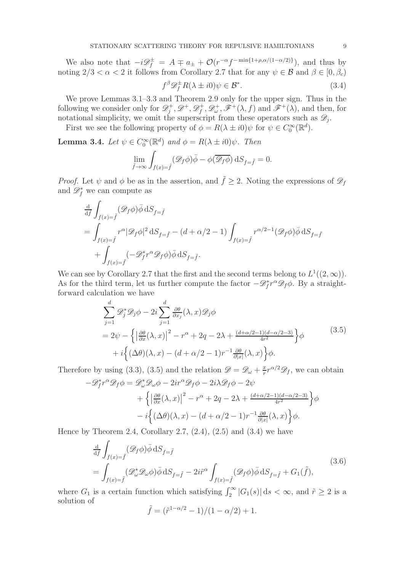We also note that  $-i\mathcal{D}_f^{\pm} = A \mp a_{\pm} + \mathcal{O}(r^{-\alpha}f^{-\min\{1+\rho,\alpha/(1-\alpha/2)\}})$ , and thus by noting  $2/3 < \alpha < 2$  it follows from Corollary 2.7 that for any  $\psi \in \mathcal{B}$  and  $\beta \in [0, \beta_c)$ 

$$
f^{\beta} \mathcal{D}_f^{\pm} R(\lambda \pm i0)\psi \in \mathcal{B}^*.
$$
 (3.4)

We prove Lemmas 3.1–3.3 and Theorem 2.9 only for the upper sign. Thus in the following we consider only for  $\mathscr{D}_i^+$  $g^+$ ,  $\mathscr{D}^+$ ,  $\mathscr{D}_f^+$  $f^+$ ,  $\mathscr{D}^+_{\omega}$ ,  $\mathscr{F}^+({\lambda}, f)$  and  $\mathscr{F}^+({\lambda})$ , and then, for notational simplicity, we omit the superscript from these operators such as  $\mathscr{D}_j$ .

First we see the following property of  $\phi = R(\lambda \pm i0)\psi$  for  $\psi \in C_0^{\infty}(\mathbb{R}^d)$ .

**Lemma 3.4.** Let  $\psi \in C_0^{\infty}(\mathbb{R}^d)$  and  $\phi = R(\lambda \pm i0)\psi$ . Then

$$
\lim_{\bar{f} \rightarrow \infty} \int_{f(x) = \tilde{f}} (\mathscr{D}_f \phi) \bar{\phi} - \phi(\overline{\mathscr{D}_f \phi}) \, \mathrm{d} S_{f = \tilde{f}} = 0.
$$

*Proof.* Let  $\psi$  and  $\phi$  be as in the assertion, and  $\tilde{f} \geq 2$ . Noting the expressions of  $\mathscr{D}_f$ and  $\mathscr{D}_{f}^{*}$  we can compute as

$$
\begin{aligned} &\frac{\mathrm{d}}{\mathrm{d}\widehat{f}}\int_{f(x)=\widehat{f}}(\mathscr{D}_f\phi)\bar{\phi}\,\mathrm{d}S_{f=\widehat{f}}\\ &=\int_{f(x)=\widehat{f}}r^\alpha|\mathscr{D}_f\phi|^2\,\mathrm{d}S_{f=\widehat{f}}-(d+\alpha/2-1)\int_{f(x)=\widehat{f}}r^{\alpha/2-1}(\mathscr{D}_f\phi)\bar{\phi}\,\mathrm{d}S_{f=\widehat{f}}\\ &+\int_{f(x)=\widehat{f}}(-\mathscr{D}_f^*r^\alpha\mathscr{D}_f\phi)\bar{\phi}\,\mathrm{d}S_{f=\widehat{f}}.\end{aligned}
$$

We can see by Corollary 2.7 that the first and the second terms belong to  $L^1((2,\infty))$ . As for the third term, let us further compute the factor  $-\mathscr{D}_f^*r^{\alpha}\mathscr{D}_f\phi$ . By a straightforward calculation we have

$$
\sum_{j=1}^{d} \mathcal{D}_{j}^{*} \mathcal{D}_{j} \phi - 2i \sum_{j=1}^{d} \frac{\partial \theta}{\partial x_{j}} (\lambda, x) \mathcal{D}_{j} \phi
$$
\n
$$
= 2\psi - \left\{ \left| \frac{\partial \theta}{\partial x} (\lambda, x) \right|^{2} - r^{\alpha} + 2q - 2\lambda + \frac{(d + \alpha/2 - 1)(d - \alpha/2 - 3)}{4r^{2}} \right\} \phi + i \left\{ (\Delta \theta)(\lambda, x) - (d + \alpha/2 - 1)r^{-1} \frac{\partial \theta}{\partial |x|} (\lambda, x) \right\} \phi.
$$
\n(3.5)

Therefore by using (3.3), (3.5) and the relation  $\mathscr{D} = \mathscr{D}_{\omega} + \frac{x}{r}$  $\frac{x}{r}r^{\alpha/2}\mathscr{D}_f$ , we can obtain

$$
-\mathcal{D}_f^* r^\alpha \mathcal{D}_f \phi = \mathcal{D}_\omega^* \mathcal{D}_\omega \phi - 2ir^\alpha \mathcal{D}_f \phi - 2i\lambda \mathcal{D}_f \phi - 2\psi
$$
  
+  $\left\{ \left| \frac{\partial \theta}{\partial x} (\lambda, x) \right|^2 - r^\alpha + 2q - 2\lambda + \frac{(d + \alpha/2 - 1)(d - \alpha/2 - 3)}{4r^2} \right\} \phi$   
-  $i \left\{ (\Delta \theta)(\lambda, x) - (d + \alpha/2 - 1)r^{-1} \frac{\partial \theta}{\partial |x|} (\lambda, x) \right\} \phi.$ 

Hence by Theorem 2.4, Corollary 2.7,  $(2.4)$ ,  $(2.5)$  and  $(3.4)$  we have

$$
\frac{\mathrm{d}}{\mathrm{d}\tilde{f}} \int_{f(x)=\tilde{f}} (\mathcal{D}_f \phi) \bar{\phi} \, \mathrm{d}S_{f=\tilde{f}} \n= \int_{f(x)=\tilde{f}} (\mathcal{D}_{\omega}^* \mathcal{D}_{\omega} \phi) \bar{\phi} \, \mathrm{d}S_{f=\tilde{f}} - 2i\tilde{r}^{\alpha} \int_{f(x)=\tilde{f}} (\mathcal{D}_f \phi) \bar{\phi} \, \mathrm{d}S_{f=\tilde{f}} + G_1(\tilde{f}),
$$
\n(3.6)

where  $G_1$  is a certain function which satisfying  $\int_2^{\infty} |G_1(s)| ds < \infty$ , and  $\tilde{r} \geq 2$  is a solution of

$$
\tilde{f} = (\tilde{r}^{1-\alpha/2} - 1)/(1 - \alpha/2) + 1.
$$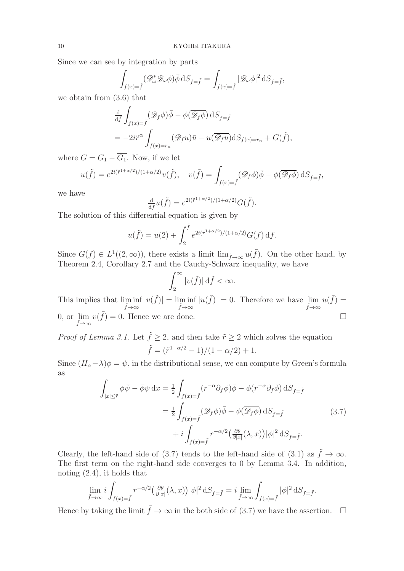Since we can see by integration by parts

$$
\int_{f(x)=\tilde{f}} (\mathscr{D}^*_{\omega} \mathscr{D}_{\omega} \phi) \bar{\phi} \, \mathrm{d}S_{f=\tilde{f}} = \int_{f(x)=\tilde{f}} |\mathscr{D}_{\omega} \phi|^2 \, \mathrm{d}S_{f=\tilde{f}},
$$

we obtain from (3.6) that

$$
\frac{\mathrm{d}}{\mathrm{d} \tilde{f}} \int_{f(x)=\tilde{f}} (\mathscr{D}_f \phi) \bar{\phi} - \phi(\overline{\mathscr{D}_f \phi}) \, \mathrm{d}S_{f=\tilde{f}} \n= -2i\tilde{r}^{\alpha} \int_{f(x)=r_n} (\mathscr{D}_f u) \bar{u} - u(\overline{\mathscr{D}_f u}) \mathrm{d}S_{f(x)=r_n} + G(\tilde{f}),
$$

where  $G = G_1 - \overline{G_1}$ . Now, if we let

$$
u(\tilde{f}) = e^{2i(\tilde{r}^{1+\alpha/2})/(1+\alpha/2)}v(\tilde{f}), \quad v(\tilde{f}) = \int_{f(x)=\tilde{f}} (\mathscr{D}_f\phi)\bar{\phi} - \phi(\overline{\mathscr{D}_f\phi}) \,dS_{f=\tilde{f}},
$$

we have

$$
\frac{\mathrm{d}}{\mathrm{d}\tilde{f}}u(\tilde{f}) = e^{2i(\tilde{r}^{1+\alpha/2})/(1+\alpha/2)}G(\tilde{f}).
$$

The solution of this differential equation is given by

$$
u(\tilde{f}) = u(2) + \int_2^{\tilde{f}} e^{2i(r^{1+\alpha/2})/(1+\alpha/2)} G(f) \, df.
$$

Since  $G(f) \in L^1((2,\infty))$ , there exists a limit  $\lim_{\tilde{f}\to\infty} u(\tilde{f})$ . On the other hand, by Theorem 2.4, Corollary 2.7 and the Cauchy-Schwarz inequality, we have

$$
\int_2^\infty |v(\tilde{f})| \,\mathrm{d}\tilde{f} < \infty.
$$

This implies that lim inf  $\liminf_{\tilde{f}\to\infty} |v(\tilde{f})| = \liminf_{\tilde{f}\to\infty} |u(\tilde{f})| = 0.$  Therefore we have  $\lim_{\tilde{f}\to\infty}$  $u(\tilde{f}) =$ 0, or lim  $\tilde{f} \rightarrow \infty$  $v(\tilde{f}) = 0$ . Hence we are done.

*Proof of Lemma 3.1.* Let  $\tilde{f} \geq 2$ , and then take  $\tilde{r} \geq 2$  which solves the equation  $\tilde{f} = (\tilde{r}^{1-\alpha/2} - 1)/(1 - \alpha/2) + 1.$ 

Since  $(H_{\alpha}-\lambda)\phi=\psi$ , in the distributional sense, we can compute by Green's formula as

$$
\int_{|x| \leq \tilde{r}} \phi \bar{\psi} - \bar{\phi} \psi \, dx = \frac{1}{2} \int_{f(x) = \tilde{f}} (r^{-\alpha} \partial_f \phi) \bar{\phi} - \phi(r^{-\alpha} \partial_f \bar{\phi}) \, dS_{f = \tilde{f}}
$$
\n
$$
= \frac{1}{2} \int_{f(x) = \tilde{f}} (\mathcal{D}_f \phi) \bar{\phi} - \phi(\overline{\mathcal{D}_f \phi}) \, dS_{f = \tilde{f}} \tag{3.7}
$$
\n
$$
+ i \int_{f(x) = \tilde{f}} r^{-\alpha/2} \left( \frac{\partial \theta}{\partial |x|} (\lambda, x) \right) |\phi|^2 \, dS_{f = \tilde{f}}.
$$

Clearly, the left-hand side of (3.7) tends to the left-hand side of (3.1) as  $\tilde{f} \to \infty$ . The first term on the right-hand side converges to 0 by Lemma 3.4. In addition, noting (2.4), it holds that

$$
\lim_{\tilde{f}\to\infty} i \int_{f(x)=\tilde{f}} r^{-\alpha/2} \left(\frac{\partial \theta}{\partial |x|}(\lambda, x)\right) |\phi|^2 \,dS_{f=\tilde{f}} = i \lim_{\tilde{f}\to\infty} \int_{f(x)=\tilde{f}} |\phi|^2 \,dS_{f=\tilde{f}}.
$$

Hence by taking the limit  $\tilde{f} \to \infty$  in the both side of (3.7) we have the assertion.  $\Box$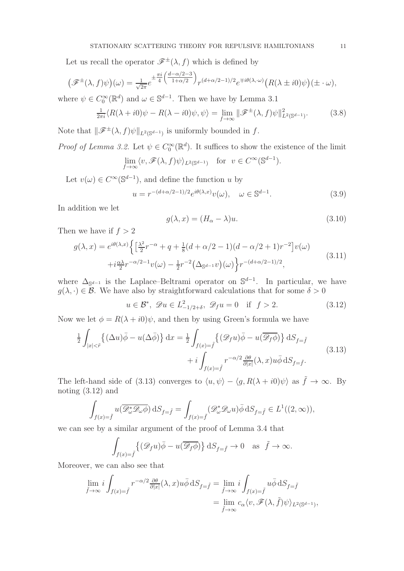Let us recall the operator  $\mathscr{F}^{\pm}(\lambda, f)$  which is defined by

$$
\left(\mathscr{F}^{\pm}(\lambda,f)\psi\right)(\omega) = \frac{1}{\sqrt{2\pi}}e^{\pm\frac{\pi i}{4}\left(\frac{d-\alpha/2-3}{1+\alpha/2}\right)}r^{(d+\alpha/2-1)/2}e^{\mp i\theta(\lambda,\omega)}\left(R(\lambda\pm i0)\psi\right)(\pm\cdot\omega),
$$

where  $\psi \in C_0^{\infty}(\mathbb{R}^d)$  and  $\omega \in \mathbb{S}^{d-1}$ . Then we have by Lemma 3.1

$$
\frac{1}{2\pi i} \langle R(\lambda + i0)\psi - R(\lambda - i0)\psi, \psi \rangle = \lim_{f \to \infty} ||\mathcal{F}^{\pm}(\lambda, f)\psi||_{L^{2}(\mathbb{S}^{d-1})}^{2}.
$$
 (3.8)

Note that  $\|\mathscr{F}^{\pm}(\lambda, f)\psi\|_{L^2(\mathbb{S}^{d-1})}$  is uniformly bounded in f.

*Proof of Lemma 3.2.* Let  $\psi \in C_0^{\infty}(\mathbb{R}^d)$ . It suffices to show the existence of the limit

$$
\lim_{f \to \infty} \langle v, \mathscr{F}(\lambda, f) \psi \rangle_{L^2(\mathbb{S}^{d-1})} \quad \text{for} \ \ v \in C^{\infty}(\mathbb{S}^{d-1}).
$$

Let  $v(\omega) \in C^{\infty}(\mathbb{S}^{d-1})$ , and define the function u by

$$
u = r^{-(d+\alpha/2-1)/2} e^{i\theta(\lambda,x)} v(\omega), \quad \omega \in \mathbb{S}^{d-1}.
$$
 (3.9)

In addition we let

$$
g(\lambda, x) = (H_{\alpha} - \lambda)u.
$$
\n(3.10)

Then we have if  $f > 2$ 

$$
g(\lambda, x) = e^{i\theta(\lambda, x)} \left\{ \left[ \frac{\lambda^2}{2} r^{-\alpha} + q + \frac{1}{8} (d + \alpha/2 - 1)(d - \alpha/2 + 1) r^{-2} \right] v(\omega) + i \frac{\alpha \lambda}{2} r^{-\alpha/2 - 1} v(\omega) - \frac{1}{2} r^{-2} \left( \Delta_{\mathbb{S}^{d-1}} v \right) (\omega) \right\} r^{-(d + \alpha/2 - 1)/2},
$$
\n(3.11)

where  $\Delta_{\mathbb{S}^{d-1}}$  is the Laplace–Beltrami operator on  $\mathbb{S}^{d-1}$ . In particular, we have  $g(\lambda, \cdot) \in \mathcal{B}$ . We have also by straightforward calculations that for some  $\delta > 0$ 

$$
u \in \mathcal{B}^*, \ \mathscr{D}u \in L^2_{-1/2+\delta}, \ \mathscr{D}_f u = 0 \quad \text{if} \ \ f > 2.
$$
 (3.12)

Now we let  $\phi = R(\lambda + i0)\psi$ , and then by using Green's formula we have

$$
\frac{1}{2} \int_{|x| < \tilde{r}} \{ (\Delta u) \bar{\phi} - u(\Delta \bar{\phi}) \} dx = \frac{1}{2} \int_{f(x) = \tilde{f}} \{ (\mathcal{D}_f u) \bar{\phi} - u(\overline{\mathcal{D}_f \phi}) \} dS_{f = \tilde{f}} \n+ i \int_{f(x) = \tilde{f}} r^{-\alpha/2} \frac{\partial \theta}{\partial |x|} (\lambda, x) u \bar{\phi} dS_{f = \tilde{f}}.
$$
\n(3.13)

The left-hand side of (3.13) converges to  $\langle u, \psi \rangle - \langle g, R(\lambda + i0) \psi \rangle$  as  $\tilde{f} \to \infty$ . By noting (3.12) and

$$
\int_{f(x)=\tilde{f}}u(\overline{\mathscr{D}^*_{\omega}\mathscr{D}_{\omega}\phi})\,\mathrm{d}S_{f=\tilde{f}}=\int_{f(x)=\tilde{f}}(\mathscr{D}^*_{\omega}\mathscr{D}_{\omega}u)\bar{\phi}\,\mathrm{d}S_{f=\tilde{f}}\in L^1((2,\infty)),
$$

we can see by a similar argument of the proof of Lemma 3.4 that

$$
\int_{f(x)=\tilde{f}} \left\{ (\mathcal{D}_f u)\overline{\phi} - u(\overline{\mathcal{D}_f \phi}) \right\} dS_{f=\tilde{f}} \to 0 \quad \text{as} \quad \tilde{f} \to \infty.
$$

Moreover, we can also see that

$$
\lim_{\tilde{f}\to\infty} i \int_{f(x)=\tilde{f}} r^{-\alpha/2} \frac{\partial \theta}{\partial |x|} (\lambda, x) u \bar{\phi} dS_{f=\tilde{f}} = \lim_{\tilde{f}\to\infty} i \int_{f(x)=\tilde{f}} u \bar{\phi} dS_{f=\tilde{f}}
$$

$$
= \lim_{\tilde{f}\to\infty} c_{\alpha} \langle v, \mathscr{F}(\lambda, \tilde{f}) \psi \rangle_{L^2(\mathbb{S}^{d-1})},
$$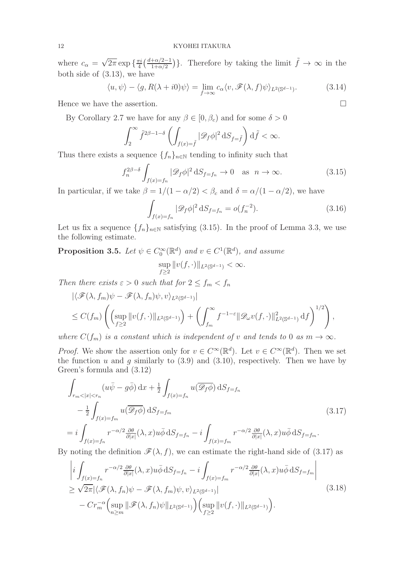where  $c_{\alpha} = \sqrt{2\pi} \exp \left\{ \frac{\pi i}{4} \right\}$  $\frac{\pi i}{4} \left( \frac{d + \alpha/2 - 1}{1 + \alpha/2} \right)$ . Therefore by taking the limit  $\tilde{f} \to \infty$  in the both side of (3.13), we have

$$
\langle u, \psi \rangle - \langle g, R(\lambda + i0)\psi \rangle = \lim_{f \to \infty} c_{\alpha} \langle v, \mathscr{F}(\lambda, f)\psi \rangle_{L^2(\mathbb{S}^{d-1})}.
$$
 (3.14)

Hence we have the assertion.

By Corollary 2.7 we have for any  $\beta \in [0, \beta_c)$  and for some  $\delta > 0$ 

$$
\int_2^\infty \tilde f^{2\beta-1-\delta}\left(\int_{f(x)=\tilde f} |\mathscr{D}_f\phi|^2\,\mathrm{d} S_{f=\tilde f}\right)\mathrm{d} \tilde f<\infty.
$$

Thus there exists a sequence  $\{f_n\}_{n\in\mathbb{N}}$  tending to infinity such that

$$
f_n^{2\beta-\delta} \int_{f(x)=f_n} |\mathcal{D}_f \phi|^2 \, \mathrm{d}S_{f=f_n} \to 0 \quad \text{as} \ \ n \to \infty. \tag{3.15}
$$

In particular, if we take  $\beta = 1/(1 - \alpha/2) < \beta_c$  and  $\delta = \alpha/(1 - \alpha/2)$ , we have

$$
\int_{f(x)=f_n} |\mathcal{D}_f \phi|^2 \, \mathrm{d}S_{f=f_n} = o(f_n^{-2}).\tag{3.16}
$$

Let us fix a sequence  $\{f_n\}_{n\in\mathbb{N}}$  satisfying (3.15). In the proof of Lemma 3.3, we use the following estimate.

**Proposition 3.5.** Let  $\psi \in C_0^{\infty}(\mathbb{R}^d)$  and  $v \in C^1(\mathbb{R}^d)$ , and assume sup  $\sup_{f\geq 2} ||v(f, \cdot)||_{L^2(\mathbb{S}^{d-1})} < \infty.$ 

Then there exists  $\varepsilon > 0$  such that for  $2 \le f_m < f_n$ 

$$
\begin{split} &\left| \langle \mathcal{F}(\lambda, f_m) \psi - \mathcal{F}(\lambda, f_n) \psi, v \rangle_{L^2(\mathbb{S}^{d-1})} \right| \\ &\leq C(f_m) \left( \left( \sup_{f \geq 2} \|v(f, \cdot)\|_{L^2(\mathbb{S}^{d-1})} \right) + \left( \int_{f_m}^{\infty} f^{-1-\varepsilon} \|\mathcal{D}_{\omega} v(f, \cdot)\|_{L^2(\mathbb{S}^{d-1})}^2 \, \mathrm{d}f \right)^{1/2} \right), \end{split}
$$

where  $C(f_m)$  is a constant which is independent of v and tends to 0 as  $m \to \infty$ .

*Proof.* We show the assertion only for  $v \in C^{\infty}(\mathbb{R}^d)$ . Let  $v \in C^{\infty}(\mathbb{R}^d)$ . Then we set the function u and q similarly to  $(3.9)$  and  $(3.10)$ , respectively. Then we have by Green's formula and (3.12)

$$
\int_{r_m < |x| < r_n} (u\bar{\psi} - g\bar{\phi}) \, dx + \frac{1}{2} \int_{f(x) = f_n} u(\overline{\mathscr{D}_f \phi}) \, dS_{f = f_n} \\
- \frac{1}{2} \int_{f(x) = f_m} u(\overline{\mathscr{D}_f \phi}) \, dS_{f = f_m} \\
= i \int_{f(x) = f_n} r^{-\alpha/2} \frac{\partial \theta}{\partial |x|} (\lambda, x) u \bar{\phi} \, dS_{f = f_n} - i \int_{f(x) = f_m} r^{-\alpha/2} \frac{\partial \theta}{\partial |x|} (\lambda, x) u \bar{\phi} \, dS_{f = f_m}.
$$
\n
$$
(3.17)
$$

By noting the definition  $\mathscr{F}(\lambda, f)$ , we can estimate the right-hand side of (3.17) as

$$
\left| i \int_{f(x)=f_n} r^{-\alpha/2} \frac{\partial \theta}{\partial |x|} (\lambda, x) u \bar{\phi} \, dS_{f=f_n} - i \int_{f(x)=f_m} r^{-\alpha/2} \frac{\partial \theta}{\partial |x|} (\lambda, x) u \bar{\phi} \, dS_{f=f_m} \right|
$$
  
\n
$$
\geq \sqrt{2\pi} |\langle \mathcal{F}(\lambda, f_n) \psi - \mathcal{F}(\lambda, f_m) \psi, v \rangle_{L^2(\mathbb{S}^{d-1})}|
$$
  
\n
$$
- Cr_m^{-\alpha} \Big( \sup_{n \geq m} \|\mathcal{F}(\lambda, f_n) \psi\|_{L^2(\mathbb{S}^{d-1})} \Big) \Big( \sup_{f \geq 2} \|v(f, \cdot)\|_{L^2(\mathbb{S}^{d-1})} \Big).
$$
\n(3.18)

$$
\Box
$$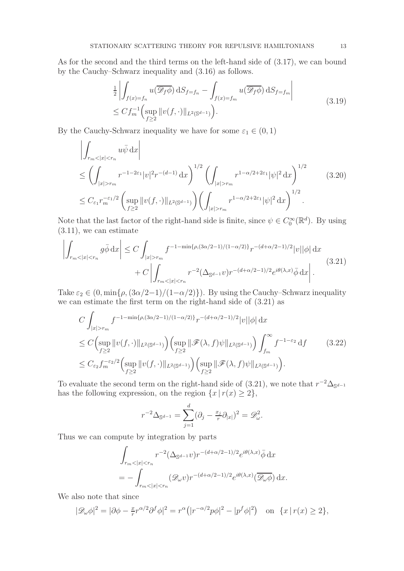As for the second and the third terms on the left-hand side of (3.17), we can bound by the Cauchy–Schwarz inequality and (3.16) as follows.

$$
\frac{1}{2} \left| \int_{f(x)=f_n} u(\overline{\mathcal{D}_f \phi}) dS_{f=f_n} - \int_{f(x)=f_m} u(\overline{\mathcal{D}_f \phi}) dS_{f=f_m} \right|
$$
\n
$$
\leq C f_m^{-1} \left( \sup_{f \geq 2} ||v(f, \cdot)||_{L^2(\mathbb{S}^{d-1})} \right).
$$
\n(3.19)

By the Cauchy-Schwarz inequality we have for some  $\varepsilon_1 \in (0,1)$ 

$$
\left| \int_{r_m < |x| < r_n} u\bar{\psi} \, dx \right|
$$
\n
$$
\leq \left( \int_{|x| > r_m} r^{-1 - 2\varepsilon_1} |v|^2 r^{-(d-1)} \, dx \right)^{1/2} \left( \int_{|x| > r_m} r^{1 - \alpha/2 + 2\varepsilon_1} |\psi|^2 \, dx \right)^{1/2}
$$
\n
$$
\leq C_{\varepsilon_1} r_m^{-\varepsilon_1/2} \left( \sup_{f \geq 2} \|v(f, \cdot)\|_{L^2(\mathbb{S}^{d-1})} \right) \left( \int_{|x| > r_m} r^{1 - \alpha/2 + 2\varepsilon_1} |\psi|^2 \, dx \right)^{1/2} . \tag{3.20}
$$

Note that the last factor of the right-hand side is finite, since  $\psi \in C_0^{\infty}(\mathbb{R}^d)$ . By using (3.11), we can estimate

$$
\left| \int_{r_m < |x| < r_n} g \bar{\phi} \, dx \right| \le C \int_{|x| > r_m} f^{-1 - \min\{\rho, (3\alpha/2 - 1)/(1 - \alpha/2)\}} r^{-(d + \alpha/2 - 1)/2} |v| |\phi| \, dx
$$
\n
$$
+ C \left| \int_{r_m < |x| < r_n} r^{-2} (\Delta_{\mathbb{S}^{d-1}} v) r^{-(d + \alpha/2 - 1)/2} e^{i\theta(\lambda, x)} \bar{\phi} \, dx \right|.
$$
\n
$$
(3.21)
$$

Take  $\varepsilon_2 \in (0, \min\{\rho, (3\alpha/2-1)/(1-\alpha/2)\})$ . By using the Cauchy–Schwarz inequality we can estimate the first term on the right-hand side of (3.21) as

$$
C \int_{|x|>r_m} f^{-1-\min\{\rho,(3\alpha/2-1)/(1-\alpha/2)\}} r^{-(d+\alpha/2-1)/2} |v||\phi| dx
$$
  
\n
$$
\leq C \Big( \sup_{f\geq 2} ||v(f,\cdot)||_{L^2(\mathbb{S}^{d-1})} \Big) \Big( \sup_{f\geq 2} ||\mathcal{F}(\lambda,f)\psi||_{L^2(\mathbb{S}^{d-1})} \Big) \int_{f_m}^{\infty} f^{-1-\varepsilon_2} df \qquad (3.22)
$$
  
\n
$$
\leq C_{\varepsilon_2} f_m^{-\varepsilon_2/2} \Big( \sup_{f\geq 2} ||v(f,\cdot)||_{L^2(\mathbb{S}^{d-1})} \Big) \Big( \sup_{f\geq 2} ||\mathcal{F}(\lambda,f)\psi||_{L^2(\mathbb{S}^{d-1})} \Big).
$$

To evaluate the second term on the right-hand side of  $(3.21)$ , we note that  $r^{-2}\Delta_{\mathbb{S}^{d-1}}$ has the following expression, on the region  $\{x \mid r(x) \geq 2\}$ ,

$$
r^{-2}\Delta_{\mathbb{S}^{d-1}} = \sum_{j=1}^d (\partial_j - \frac{x_j}{r} \partial_{|x|})^2 = \mathscr{D}^2_{\omega}.
$$

Thus we can compute by integration by parts

$$
\int_{r_m<|x|  
= 
$$
-\int_{r_m<|x|
$$
$$

We also note that since

$$
|\mathcal{D}_{\omega}\phi|^2 = |\partial\phi - \frac{x}{r}r^{\alpha/2}\partial^f\phi|^2 = r^{\alpha}\left(|r^{-\alpha/2}p\phi|^2 - |p^f\phi|^2\right) \quad \text{on} \ \{x \mid r(x) \ge 2\},
$$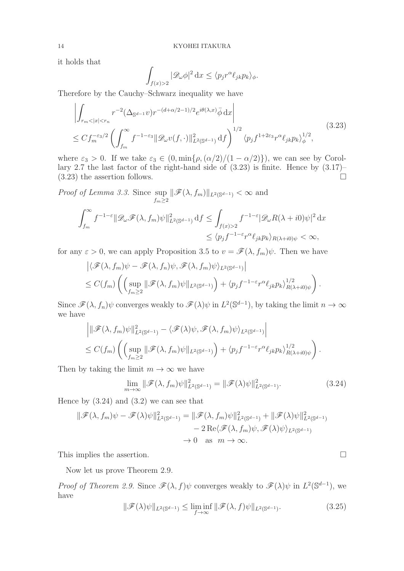it holds that

$$
\int_{f(x)>2} |\mathcal{D}_{\omega}\phi|^2 dx \le \langle p_j r^{\alpha} \ell_{jk} p_k \rangle_{\phi}.
$$

Therefore by the Cauchy–Schwarz inequality we have

$$
\left| \int_{r_m < |x| < r_n} r^{-2} (\Delta_{\mathbb{S}^{d-1}} v) r^{-(d+\alpha/2-1)/2} e^{i\theta(\lambda, x)} \bar{\phi} \, dx \right|
$$
\n
$$
\leq C f_m^{-\varepsilon_3/2} \left( \int_{f_m}^{\infty} f^{-1-\varepsilon_3} \|\mathcal{D}_{\omega} v(f, \cdot)\|_{L^2(\mathbb{S}^{d-1})}^2 \, df \right)^{1/2} \langle p_j f^{1+2\varepsilon_3} r^{\alpha} \ell_{jk} p_k \rangle_{\phi}^{1/2}, \tag{3.23}
$$

where  $\varepsilon_3 > 0$ . If we take  $\varepsilon_3 \in (0, \min{\rho, (\alpha/2)/(1 - \alpha/2)}),$  we can see by Corollary 2.7 the last factor of the right-hand side of (3.23) is finite. Hence by (3.17)–  $(3.23)$  the assertion follows.

Proof of Lemma 3.3. Since sup  $\sup_{f_m\geq 2} \|\mathscr{F}(\lambda, f_m)\|_{L^2(\mathbb{S}^{d-1})} < \infty$  and

$$
\int_{f_m}^{\infty} f^{-1-\varepsilon} \|\mathcal{D}_{\omega}\mathcal{F}(\lambda, f_m)\psi\|_{L^2(\mathbb{S}^{d-1})}^2 \,\mathrm{d}f \le \int_{f(x)>2} f^{-1-\varepsilon} |\mathcal{D}_{\omega}R(\lambda + i0)\psi|^2 \,\mathrm{d}x
$$
  

$$
\le \langle p_j f^{-1-\varepsilon} r^{\alpha} \ell_{jk} p_k \rangle_{R(\lambda + i0)\psi} < \infty,
$$

for any  $\varepsilon > 0$ , we can apply Proposition 3.5 to  $v = \mathscr{F}(\lambda, f_m)\psi$ . Then we have

$$
\left| \langle \mathcal{F}(\lambda, f_m) \psi - \mathcal{F}(\lambda, f_n) \psi, \mathcal{F}(\lambda, f_m) \psi \rangle_{L^2(\mathbb{S}^{d-1})} \right|
$$
  
 
$$
\leq C(f_m) \left( \left( \sup_{f_m \geq 2} \|\mathcal{F}(\lambda, f_m) \psi\|_{L^2(\mathbb{S}^{d-1})} \right) + \langle p_j f^{-1-\varepsilon} r^{\alpha} \ell_{jk} p_k \rangle_{R(\lambda + i0) \psi}^{1/2} \right).
$$

Since  $\mathscr{F}(\lambda, f_n)\psi$  converges weakly to  $\mathscr{F}(\lambda)\psi$  in  $L^2(\mathbb{S}^{d-1})$ , by taking the limit  $n \to \infty$ we have

$$
\left| \|\mathcal{F}(\lambda, f_m)\psi\|_{L^2(\mathbb{S}^{d-1})}^2 - \langle \mathcal{F}(\lambda)\psi, \mathcal{F}(\lambda, f_m)\psi \rangle_{L^2(\mathbb{S}^{d-1})} \right|
$$
  
\n
$$
\leq C(f_m) \left( \left( \sup_{f_m \geq 2} \|\mathcal{F}(\lambda, f_m)\psi\|_{L^2(\mathbb{S}^{d-1})} \right) + \langle p_j f^{-1-\varepsilon} r^\alpha \ell_{jk} p_k \rangle_{R(\lambda + i0)\psi}^{1/2} \right).
$$

Then by taking the limit  $m \to \infty$  we have

$$
\lim_{m \to \infty} \|\mathscr{F}(\lambda, f_m)\psi\|_{L^2(\mathbb{S}^{d-1})}^2 = \|\mathscr{F}(\lambda)\psi\|_{L^2(\mathbb{S}^{d-1})}^2.
$$
\n(3.24)

Hence by  $(3.24)$  and  $(3.2)$  we can see that

$$
\|\mathscr{F}(\lambda, f_m)\psi - \mathscr{F}(\lambda)\psi\|_{L^2(\mathbb{S}^{d-1})}^2 = \|\mathscr{F}(\lambda, f_m)\psi\|_{L^2(\mathbb{S}^{d-1})}^2 + \|\mathscr{F}(\lambda)\psi\|_{L^2(\mathbb{S}^{d-1})}^2 - 2\operatorname{Re}\langle\mathscr{F}(\lambda, f_m)\psi, \mathscr{F}(\lambda)\psi\rangle_{L^2(\mathbb{S}^{d-1})} \to 0 \quad \text{as } m \to \infty.
$$

This implies the assertion.

Now let us prove Theorem 2.9.

Proof of Theorem 2.9. Since  $\mathscr{F}(\lambda, f)\psi$  converges weakly to  $\mathscr{F}(\lambda)\psi$  in  $L^2(\mathbb{S}^{d-1})$ , we have

$$
\|\mathcal{F}(\lambda)\psi\|_{L^2(\mathbb{S}^{d-1})} \le \liminf_{f \to \infty} \|\mathcal{F}(\lambda,f)\psi\|_{L^2(\mathbb{S}^{d-1})}.
$$
\n(3.25)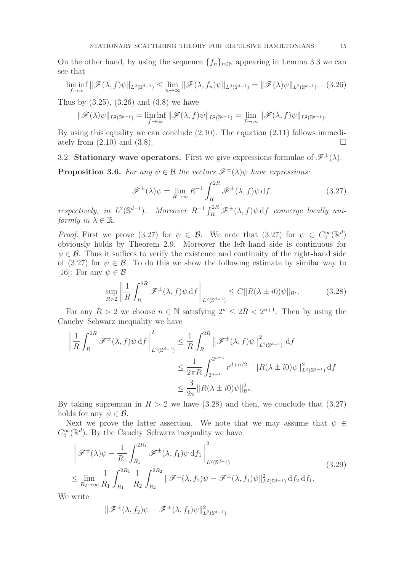On the other hand, by using the sequence  $\{f_n\}_{n\in\mathbb{N}}$  appearing in Lemma 3.3 we can see that

$$
\liminf_{f \to \infty} \|\mathscr{F}(\lambda, f)\psi\|_{L^2(\mathbb{S}^{d-1})} \le \lim_{n \to \infty} \|\mathscr{F}(\lambda, f_n)\psi\|_{L^2(\mathbb{S}^{d-1})} = \|\mathscr{F}(\lambda)\psi\|_{L^2(\mathbb{S}^{d-1})}. \tag{3.26}
$$

Thus by  $(3.25)$ ,  $(3.26)$  and  $(3.8)$  we have

$$
\|\mathscr{F}(\lambda)\psi\|_{L^2(\mathbb{S}^{d-1})}=\liminf_{f\to\infty}\|\mathscr{F}(\lambda,f)\psi\|_{L^2(\mathbb{S}^{d-1})}=\lim_{f\to\infty}\|\mathscr{F}(\lambda,f)\psi\|_{L^2(\mathbb{S}^{d-1})}.
$$

By using this equality we can conclude (2.10). The equation (2.11) follows immediately from  $(2.10)$  and  $(3.8)$ .

# 3.2. **Stationary wave operators.** First we give expressions formulae of  $\mathscr{F}^{\pm}(\lambda)$ .

**Proposition 3.6.** For any  $\psi \in \mathcal{B}$  the vectors  $\mathscr{F}^{\pm}(\lambda)\psi$  have expressions:

$$
\mathscr{F}^{\pm}(\lambda)\psi = \lim_{R \to \infty} R^{-1} \int_{R}^{2R} \mathscr{F}^{\pm}(\lambda, f)\psi \, df,
$$
 (3.27)

respectively, in  $L^2(\mathbb{S}^{d-1})$ . Moreover  $R^{-1} \int_R^{2R} \mathscr{F}^{\pm}(\lambda, f) \psi \, df$  converge locally uniformly in  $\lambda \in \mathbb{R}$ .

*Proof.* First we prove (3.27) for  $\psi \in \mathcal{B}$ . We note that (3.27) for  $\psi \in C_0^{\infty}(\mathbb{R}^d)$ obviously holds by Theorem 2.9. Moreover the left-hand side is continuous for  $\psi \in \mathcal{B}$ . Thus it suffices to verify the existence and continuity of the right-hand side of (3.27) for  $\psi \in \mathcal{B}$ . To do this we show the following estimate by similar way to [16]: For any  $\psi \in \mathcal{B}$ 

$$
\sup_{R>2} \left\| \frac{1}{R} \int_{R}^{2R} \mathcal{F}^{\pm}(\lambda, f) \psi \, df \right\|_{L^{2}(\mathbb{S}^{d-1})} \leq C \| R(\lambda \pm i0) \psi \|_{\mathcal{B}^*}.
$$
 (3.28)

For any  $R > 2$  we choose  $n \in \mathbb{N}$  satisfying  $2^n \leq 2R < 2^{n+1}$ . Then by using the Cauchy–Schwarz inequality we have

$$
\left\| \frac{1}{R} \int_{R}^{2R} \mathcal{F}^{\pm}(\lambda, f) \psi \, df \right\|_{L^{2}(\mathbb{S}^{d-1})}^{2} \leq \frac{1}{R} \int_{R}^{2R} \left\| \mathcal{F}^{\pm}(\lambda, f) \psi \right\|_{L^{2}(\mathbb{S}^{d-1})}^{2} df
$$
  

$$
\leq \frac{1}{2\pi R} \int_{2^{n-1}}^{2^{n+1}} r^{d+\alpha/2-1} \|R(\lambda \pm i0)\psi\|_{L^{2}(\mathbb{S}^{d-1})}^{2} df
$$
  

$$
\leq \frac{3}{2\pi} \|R(\lambda \pm i0)\psi\|_{B^{*}}^{2}.
$$

By taking supremum in  $R > 2$  we have (3.28) and then, we conclude that (3.27) holds for any  $\psi \in \mathcal{B}$ .

Next we prove the latter assertion. We note that we may assume that  $\psi \in$  $C_0^{\infty}(\mathbb{R}^d)$ . By the Cauchy–Schwarz inequality we have

$$
\left\| \mathcal{F}^{\pm}(\lambda)\psi - \frac{1}{R_1} \int_{R_1}^{2R_1} \mathcal{F}^{\pm}(\lambda, f_1)\psi \, df_1 \right\|_{L^2(\mathbb{S}^{d-1})}^2
$$
\n
$$
\leq \lim_{R_2 \to \infty} \frac{1}{R_1} \int_{R_1}^{2R_1} \frac{1}{R_2} \int_{R_2}^{2R_2} \|\mathcal{F}^{\pm}(\lambda, f_2)\psi - \mathcal{F}^{\pm}(\lambda, f_1)\psi\|_{L^2(\mathbb{S}^{d-1})}^2 df_2 df_1.
$$
\n(3.29)

We write

$$
\|\mathscr{F}^{\pm}(\lambda,f_2)\psi-\mathscr{F}^{\pm}(\lambda,f_1)\psi\|_{L^2(\mathbb{S}^{d-1})}^2
$$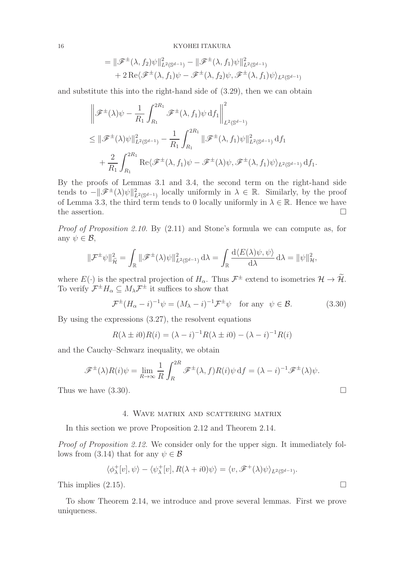### 16 KYOHEI ITAKURA

$$
= \|\mathscr{F}^{\pm}(\lambda, f_2)\psi\|_{L^2(\mathbb{S}^{d-1})}^2 - \|\mathscr{F}^{\pm}(\lambda, f_1)\psi\|_{L^2(\mathbb{S}^{d-1})}^2
$$
  
+ 2 \operatorname{Re}\langle \mathscr{F}^{\pm}(\lambda, f\_1)\psi - \mathscr{F}^{\pm}(\lambda, f\_2)\psi, \mathscr{F}^{\pm}(\lambda, f\_1)\psi \rangle\_{L^2(\mathbb{S}^{d-1})}

and substitute this into the right-hand side of (3.29), then we can obtain

$$
\|\mathscr{F}^{\pm}(\lambda)\psi - \frac{1}{R_1} \int_{R_1}^{2R_1} \mathscr{F}^{\pm}(\lambda, f_1)\psi \, df_1 \Big\|_{L^2(\mathbb{S}^{d-1})}^2
$$
  
\n
$$
\leq \|\mathscr{F}^{\pm}(\lambda)\psi\|_{L^2(\mathbb{S}^{d-1})}^2 - \frac{1}{R_1} \int_{R_1}^{2R_1} \|\mathscr{F}^{\pm}(\lambda, f_1)\psi\|_{L^2(\mathbb{S}^{d-1})}^2 df_1
$$
  
\n
$$
+ \frac{2}{R_1} \int_{R_1}^{2R_1} \text{Re}\langle \mathscr{F}^{\pm}(\lambda, f_1)\psi - \mathscr{F}^{\pm}(\lambda)\psi, \mathscr{F}^{\pm}(\lambda, f_1)\psi \rangle_{L^2(\mathbb{S}^{d-1})} df_1.
$$

By the proofs of Lemmas 3.1 and 3.4, the second term on the right-hand side tends to  $-\|\mathscr{F}^{\pm}(\lambda)\psi\|_{L^2(\mathbb{S}^{d-1})}^2$  locally uniformly in  $\lambda \in \mathbb{R}$ . Similarly, by the proof of Lemma 3.3, the third term tends to 0 locally uniformly in  $\lambda \in \mathbb{R}$ . Hence we have the assertion. the assertion.

Proof of Proposition 2.10. By (2.11) and Stone's formula we can compute as, for any  $\psi \in \mathcal{B}$ ,

$$
\|\mathcal{F}^{\pm}\psi\|_{\tilde{\mathcal{H}}}^2 = \int_{\mathbb{R}} \|\mathscr{F}^{\pm}(\lambda)\psi\|_{L^2(\mathbb{S}^{d-1})}^2 \,d\lambda = \int_{\mathbb{R}} \frac{d\langle E(\lambda)\psi,\psi\rangle}{d\lambda} \,d\lambda = \|\psi\|_{\mathcal{H}}^2,
$$

where  $E(\cdot)$  is the spectral projection of  $H_{\alpha}$ . Thus  $\mathcal{F}^{\pm}$  extend to isometries  $\mathcal{H} \to \mathcal{H}$ . To verify  $\mathcal{F}^{\pm}H_{\alpha} \subseteq M_{\lambda}\mathcal{F}^{\pm}$  it suffices to show that

$$
\mathcal{F}^{\pm}(H_{\alpha} - i)^{-1}\psi = (M_{\lambda} - i)^{-1}\mathcal{F}^{\pm}\psi \quad \text{for any} \ \ \psi \in \mathcal{B}.
$$
 (3.30)

By using the expressions (3.27), the resolvent equations

$$
R(\lambda \pm i0)R(i) = (\lambda - i)^{-1}R(\lambda \pm i0) - (\lambda - i)^{-1}R(i)
$$

and the Cauchy–Schwarz inequality, we obtain

$$
\mathscr{F}^{\pm}(\lambda)R(i)\psi = \lim_{R \to \infty} \frac{1}{R} \int_{R}^{2R} \mathscr{F}^{\pm}(\lambda, f)R(i)\psi \, df = (\lambda - i)^{-1} \mathscr{F}^{\pm}(\lambda)\psi.
$$

Thus we have  $(3.30)$ .

## 4. Wave matrix and scattering matrix

In this section we prove Proposition 2.12 and Theorem 2.14.

Proof of Proposition 2.12. We consider only for the upper sign. It immediately follows from (3.14) that for any  $\psi \in \mathcal{B}$ 

$$
\langle \phi_{\lambda}^+[v], \psi \rangle - \langle \psi_{\lambda}^+[v], R(\lambda + i0)\psi \rangle = \langle v, \mathscr{F}^+(\lambda)\psi \rangle_{L^2(\mathbb{S}^{d-1})}.
$$

This implies  $(2.15)$ .

To show Theorem 2.14, we introduce and prove several lemmas. First we prove uniqueness.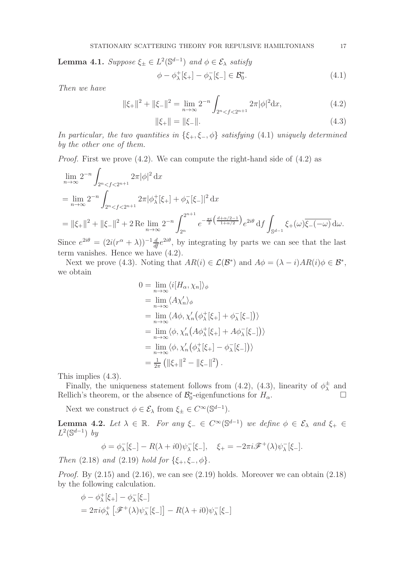**Lemma 4.1.** Suppose  $\xi_{\pm} \in L^2(\mathbb{S}^{d-1})$  and  $\phi \in \mathcal{E}_{\lambda}$  satisfy

$$
\phi - \phi_{\lambda}^{+}[\xi_{+}] - \phi_{\lambda}^{-}[\xi_{-}] \in \mathcal{B}_{0}^{*}.
$$
\n(4.1)

Then we have

$$
\|\xi_{+}\|^2 + \|\xi_{-}\|^2 = \lim_{n \to \infty} 2^{-n} \int_{2^n < f < 2^{n+1}} 2\pi |\phi|^2 \, \mathrm{d}x,\tag{4.2}
$$

$$
\|\xi_{+}\| = \|\xi_{-}\|.\tag{4.3}
$$

In particular, the two quantities in  $\{\xi_+,\xi_-,\phi\}$  satisfying (4.1) uniquely determined by the other one of them.

Proof. First we prove (4.2). We can compute the right-hand side of (4.2) as

$$
\lim_{n \to \infty} 2^{-n} \int_{2^n < f < 2^{n+1}} 2\pi |\phi|^2 \, dx
$$
\n
$$
= \lim_{n \to \infty} 2^{-n} \int_{2^n < f < 2^{n+1}} 2\pi |\phi_\lambda^+[\xi_+] + \phi_\lambda^-[\xi_-]|^2 \, dx
$$
\n
$$
= \|\xi_+\|^2 + \|\xi_-\|^2 + 2 \operatorname{Re} \lim_{n \to \infty} 2^{-n} \int_{2^n}^{2^{n+1}} e^{-\frac{\pi i}{2} \left(\frac{d+\alpha/2-1}{1+\alpha/2}\right)} e^{2i\theta} \, df \int_{\mathbb{S}^{d-1}} \xi_+(\omega) \overline{\xi_-(-\omega)} \, d\omega.
$$

Since  $e^{2i\theta} = (2i(r^{\alpha} + \lambda))^{-1} \frac{d}{dt} e^{2i\theta}$ , by integrating by parts we can see that the last term vanishes. Hence we have (4.2).

Next we prove (4.3). Noting that  $AR(i) \in \mathcal{L}(\mathcal{B}^*)$  and  $A\phi = (\lambda - i)AR(i)\phi \in \mathcal{B}^*$ , we obtain

$$
0 = \lim_{n \to \infty} \langle i[H_{\alpha}, \chi_n] \rangle_{\phi}
$$
  
\n
$$
= \lim_{n \to \infty} \langle A\chi'_n \rangle_{\phi}
$$
  
\n
$$
= \lim_{n \to \infty} \langle A\phi, \chi'_n (\phi_{\lambda}^+[\xi_+] + \phi_{\lambda}^-[\xi_-]) \rangle
$$
  
\n
$$
= \lim_{n \to \infty} \langle \phi, \chi'_n (A\phi_{\lambda}^+[\xi_+] + A\phi_{\lambda}^-[\xi_-]) \rangle
$$
  
\n
$$
= \lim_{n \to \infty} \langle \phi, \chi'_n (\phi_{\lambda}^+[\xi_+] - \phi_{\lambda}^-[\xi_-]) \rangle
$$
  
\n
$$
= \frac{1}{2\pi} (\|\xi_+\|^2 - \|\xi_-\|^2).
$$

This implies (4.3).

Finally, the uniqueness statement follows from (4.2), (4.3), linearity of  $\phi_{\lambda}^{\pm}$  and Rellich's theorem, or the absence of  $\mathcal{B}_0^*$ -eigenfunctions for  $H_\alpha$ .

Next we construct  $\phi \in \mathcal{E}_{\lambda}$  from  $\xi_{\pm} \in C^{\infty}(\mathbb{S}^{d-1})$ .

**Lemma 4.2.** Let  $\lambda \in \mathbb{R}$ . For any  $\xi_{-} \in C^{\infty}(\mathbb{S}^{d-1})$  we define  $\phi \in \mathcal{E}_{\lambda}$  and  $\xi_{+} \in$  $L^2(\mathbb{S}^{d-1})$  by

$$
\phi = \phi_{\lambda}^{-}[\xi_{-}] - R(\lambda + i0)\psi_{\lambda}^{-}[\xi_{-}], \quad \xi_{+} = -2\pi i \mathscr{F}^{+}(\lambda)\psi_{\lambda}^{-}[\xi_{-}].
$$

Then  $(2.18)$  and  $(2.19)$  hold for  $\{\xi_+,\xi_-,\phi\}.$ 

*Proof.* By  $(2.15)$  and  $(2.16)$ , we can see  $(2.19)$  holds. Moreover we can obtain  $(2.18)$ by the following calculation.

$$
\phi - \phi_{\lambda}^{+}[\xi_{+}] - \phi_{\lambda}^{-}[\xi_{-}]
$$
  
=  $2\pi i \phi_{\lambda}^{+} [\mathscr{F}^{+}(\lambda)\psi_{\lambda}^{-}[\xi_{-}]] - R(\lambda + i0)\psi_{\lambda}^{-}[\xi_{-}]$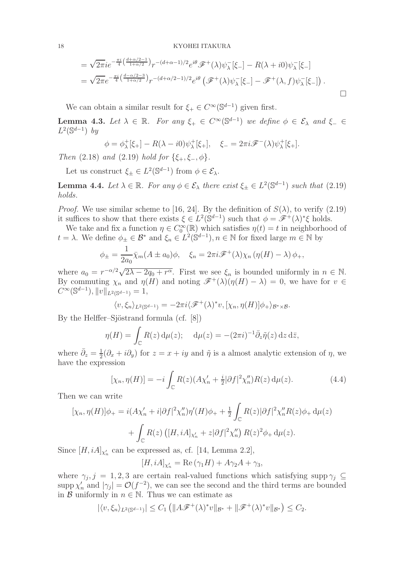18 KYOHEI ITAKURA

$$
= \sqrt{2\pi}ie^{-\frac{\pi i}{4}\left(\frac{d+\alpha/2-1}{1+\alpha/2}\right)}r^{-(d+\alpha-1)/2}e^{i\theta}\mathcal{F}^+(\lambda)\psi^-_{\lambda}[\xi_-] - R(\lambda+i0)\psi^-_{\lambda}[\xi_-] = \sqrt{2\pi}e^{-\frac{\pi i}{4}\left(\frac{d-\alpha/2-3}{1+\alpha/2}\right)}r^{-(d+\alpha/2-1)/2}e^{i\theta}\left(\mathcal{F}^+(\lambda)\psi^-_{\lambda}[\xi_-] - \mathcal{F}^+(\lambda,f)\psi^-_{\lambda}[\xi_-]\right).
$$

We can obtain a similar result for  $\xi_+ \in C^{\infty}(\mathbb{S}^{d-1})$  given first.

**Lemma 4.3.** Let  $\lambda \in \mathbb{R}$ . For any  $\xi_+ \in C^\infty(\mathbb{S}^{d-1})$  we define  $\phi \in \mathcal{E}_\lambda$  and  $\xi_- \in$  $L^2(\mathbb{S}^{d-1})$  by

$$
\phi = \phi_{\lambda}^+[\xi_+] - R(\lambda - i0)\psi_{\lambda}^+[\xi_+], \quad \xi_- = 2\pi i \mathscr{F}^-(\lambda)\psi_{\lambda}^+[\xi_+].
$$

Then (2.18) and (2.19) hold for  $\{\xi_+,\xi_-,\phi\}.$ 

Let us construct  $\xi_{\pm} \in L^2(\mathbb{S}^{d-1})$  from  $\phi \in \mathcal{E}_{\lambda}$ .

**Lemma 4.4.** Let  $\lambda \in \mathbb{R}$ . For any  $\phi \in \mathcal{E}_{\lambda}$  there exist  $\xi_{\pm} \in L^2(\mathbb{S}^{d-1})$  such that  $(2.19)$ holds.

*Proof.* We use similar scheme to [16, 24]. By the definition of  $S(\lambda)$ , to verify (2.19) it suffices to show that there exists  $\xi \in L^2(\mathbb{S}^{d-1})$  such that  $\phi = \mathscr{F}^+(\lambda)^*\xi$  holds.

We take and fix a function  $\eta \in C_0^{\infty}(\mathbb{R})$  which satisfies  $\eta(t) = t$  in neighborhood of  $t = \lambda$ . We define  $\phi_{\pm} \in \mathcal{B}^*$  and  $\xi_n \in L^2(\mathbb{S}^{d-1}), n \in \mathbb{N}$  for fixed large  $m \in \mathbb{N}$  by

$$
\phi_{\pm} = \frac{1}{2a_0} \bar{\chi}_m(A \pm a_0)\phi, \quad \xi_n = 2\pi i \mathscr{F}^+(\lambda)\chi_n(\eta(H) - \lambda)\phi_+,
$$

where  $a_0 = r^{-\alpha/2}\sqrt{2\lambda - 2q_0 + r^{\alpha}}$ . First we see  $\xi_n$  is bounded uniformly in  $n \in \mathbb{N}$ . By commuting  $\chi_n$  and  $\eta(H)$  and noting  $\mathscr{F}^+(\lambda)(\eta(H) - \lambda) = 0$ , we have for  $v \in$  $C^{\infty}(\mathbb{S}^{d-1}), \|v\|_{L^2(\mathbb{S}^{d-1})}=1,$ 

$$
\langle v, \xi_n \rangle_{L^2(\mathbb{S}^{d-1})} = -2\pi i \langle \mathcal{F}^+(\lambda)^* v, [\chi_n, \eta(H)]\phi_+ \rangle_{\mathcal{B}^*\times\mathcal{B}}.
$$

By the Helffer–Sjöstrand formula (cf.  $[8]$ )

$$
\eta(H) = \int_{\mathbb{C}} R(z) \, \mathrm{d}\mu(z); \quad \mathrm{d}\mu(z) = -(2\pi i)^{-1} \bar{\partial}_z \tilde{\eta}(z) \, \mathrm{d}z \, \mathrm{d}\bar{z},
$$

where  $\bar{\partial}_z = \frac{1}{2}$  $\frac{1}{2}(\partial_x + i\partial_y)$  for  $z = x + iy$  and  $\tilde{\eta}$  is a almost analytic extension of  $\eta$ , we have the expression

$$
[\chi_n, \eta(H)] = -i \int_{\mathbb{C}} R(z) (A\chi_n' + \frac{i}{2} |\partial f|^2 \chi_n'') R(z) d\mu(z). \tag{4.4}
$$

Then we can write

$$
[\chi_n, \eta(H)]\phi_+ = i(A\chi'_n + i|\partial f|^2 \chi''_n) \eta'(H)\phi_+ + \frac{1}{2} \int_{\mathbb{C}} R(z)|\partial f|^2 \chi''_n R(z)\phi_+ d\mu(z) + \int_{\mathbb{C}} R(z) ([H, iA]_{\chi'_n} + z|\partial f|^2 \chi''_n) R(z)^2 \phi_+ d\mu(z).
$$

Since  $[H, iA]_{\chi'_n}$  can be expressed as, cf. [14, Lemma 2.2],

 $[H, iA]_{\chi'_n} = \text{Re}(\gamma_1 H) + A\gamma_2 A + \gamma_3,$ 

where  $\gamma_j$ ,  $j = 1, 2, 3$  are certain real-valued functions which satisfying supp  $\gamma_j \subseteq$ supp  $\chi'_n$  and  $|\gamma_j| = \mathcal{O}(f^{-2})$ , we can see the second and the third terms are bounded in B uniformly in  $n \in \mathbb{N}$ . Thus we can estimate as

$$
|\langle v, \xi_n \rangle_{L^2(\mathbb{S}^{d-1})}| \leq C_1 \left( \|A\mathcal{F}^+(\lambda)^* v\|_{\mathcal{B}^*} + \|\mathcal{F}^+(\lambda)^* v\|_{\mathcal{B}^*} \right) \leq C_2.
$$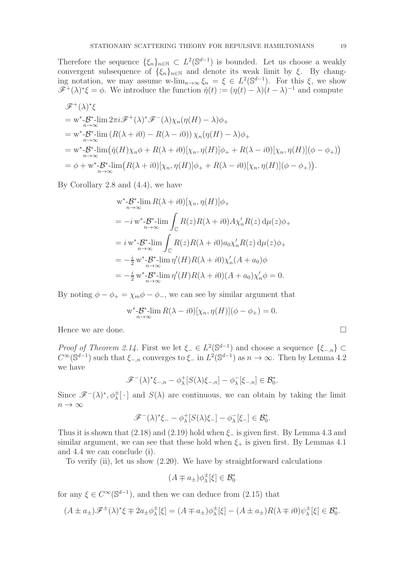Therefore the sequence  $\{\xi_n\}_{n\in\mathbb{N}} \subset L^2(\mathbb{S}^{d-1})$  is bounded. Let us choose a weakly convergent subsequence of  $\{\xi_n\}_{n\in\mathbb{N}}$  and denote its weak limit by  $\xi$ . By changing notation, we may assume w-lim<sub>n→∞</sub>  $\xi_n = \xi \in L^2(\mathbb{S}^{d-1})$ . For this  $\xi$ , we show  $\mathscr{F}^+(\lambda)^*\xi = \phi$ . We introduce the function  $\check{\eta}(t) := (\eta(t) - \lambda)(t - \lambda)^{-1}$  and compute

$$
\mathscr{F}^{+}(\lambda)^{*}\xi
$$
  
= w^{\*}\n $\mathscr{B}^{-}$ \n $\lim_{n\to\infty} 2\pi i \mathscr{F}^{+}(\lambda)^{*}\mathscr{F}^{-}(\lambda)\chi_{n}(\eta(H) - \lambda)\phi_{+}$   
= w^{\*}\n $\mathscr{B}^{*}$ \n $\lim_{n\to\infty} (R(\lambda + i0) - R(\lambda - i0))\chi_{n}(\eta(H) - \lambda)\phi_{+}$   
= w^{\*}\n $\mathscr{B}^{*}$ \n $\lim_{n\to\infty} (\tilde{\eta}(H)\chi_{n}\phi + R(\lambda + i0)[\chi_{n}, \eta(H)]\phi_{+} + R(\lambda - i0)[\chi_{n}, \eta(H)](\phi - \phi_{+}) )$   
=  $\phi + w^{*}\n $\mathscr{B}^{*}$ \n $\lim_{n\to\infty} (R(\lambda + i0)[\chi_{n}, \eta(H)]\phi_{+} + R(\lambda - i0)[\chi_{n}, \eta(H)](\phi - \phi_{+}) ).$$ 

By Corollary 2.8 and (4.4), we have

$$
w^* - B^* \lim_{n \to \infty} R(\lambda + i0) [\chi_n, \eta(H)] \phi_+
$$
  
=  $-i w^* - B^* \lim_{n \to \infty} \int_{\mathbb{C}} R(z) R(\lambda + i0) A \chi'_n R(z) d\mu(z) \phi_+$   
=  $i w^* - B^* \lim_{n \to \infty} \int_{\mathbb{C}} R(z) R(\lambda + i0) a_0 \chi'_n R(z) d\mu(z) \phi_+$   
=  $-\frac{i}{2} w^* - B^* \lim_{n \to \infty} \eta'(H) R(\lambda + i0) \chi'_n (A + a_0) \phi$   
=  $-\frac{i}{2} w^* - B^* \lim_{n \to \infty} \eta'(H) R(\lambda + i0) (A + a_0) \chi'_n \phi = 0.$ 

By noting  $\phi - \phi_+ = \chi_m \phi - \phi_-,$  we can see by similar argument that

$$
\mathbf{w}^* \text{-} \mathcal{B}^* \text{-lim } R(\lambda - i0) [\chi_n, \eta(H)](\phi - \phi_+) = 0.
$$

Hence we are done.  $\Box$ 

Proof of Theorem 2.14. First we let  $\xi_{-} \in L^{2}(\mathbb{S}^{d-1})$  and choose a sequence  $\{\xi_{-,n}\}\subset$  $C^{\infty}(\mathbb{S}^{d-1})$  such that  $\xi_{-,n}$  converges to  $\xi_{-}$  in  $L^2(\mathbb{S}^{d-1})$  as  $n \to \infty$ . Then by Lemma 4.2 we have

$$
\mathscr{F}^{-}(\lambda)^{*}\xi_{-,n} - \phi_{\lambda}^{+}[S(\lambda)\xi_{-,n}] - \phi_{\lambda}^{-}[\xi_{-,n}] \in \mathcal{B}_{0}^{*}.
$$

Since  $\mathscr{F}^-(\lambda)^*, \phi_{\lambda}^{\pm}[\cdot]$  and  $S(\lambda)$  are continuous, we can obtain by taking the limit  $n \to \infty$ 

$$
\mathscr{F}^{-}(\lambda)^{*}\xi_{-} - \phi_{\lambda}^{+}[S(\lambda)\xi_{-}] - \phi_{\lambda}^{-}[\xi_{-}] \in \mathcal{B}_{0}^{*}.
$$

Thus it is shown that  $(2.18)$  and  $(2.19)$  hold when  $\xi$ <sub>−</sub> is given first. By Lemma 4.3 and similar argument, we can see that these hold when  $\xi_{+}$  is given first. By Lemmas 4.1 and 4.4 we can conclude (i).

To verify (ii), let us show (2.20). We have by straightforward calculations

$$
(A \mp a_{\pm})\phi_{\lambda}^{\pm}[\xi] \in \mathcal{B}_0^*
$$

for any  $\xi \in C^{\infty}(\mathbb{S}^{d-1})$ , and then we can deduce from  $(2.15)$  that

$$
(A \pm a_{\pm})\mathscr{F}^{\pm}(\lambda)^{*}\xi \mp 2a_{\pm}\phi_{\lambda}^{\pm}[\xi] = (A \mp a_{\pm})\phi_{\lambda}^{\pm}[\xi] - (A \pm a_{\pm})R(\lambda \mp i0)\psi_{\lambda}^{\pm}[\xi] \in \mathcal{B}_{0}^{*}.
$$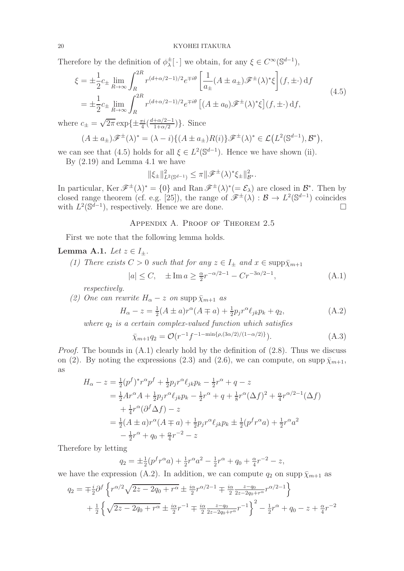Therefore by the definition of  $\phi_{\lambda}^{\pm}[\cdot]$  we obtain, for any  $\xi \in C^{\infty}(\mathbb{S}^{d-1}),$ 

$$
\xi = \pm \frac{1}{2} c_{\pm} \lim_{R \to \infty} \int_{R}^{2R} r^{(d+\alpha/2-1)/2} e^{\mp i\theta} \left[ \frac{1}{a_{\pm}} (A \pm a_{\pm}) \mathscr{F}^{\pm}(\lambda)^{*} \xi \right] (f, \pm \cdot) \, \mathrm{d}f
$$
\n
$$
= \pm \frac{1}{2} c_{\pm} \lim_{R \to \infty} \int_{R}^{2R} r^{(d+\alpha/2-1)/2} e^{\mp i\theta} \left[ (A \pm a_{0}) \mathscr{F}^{\pm}(\lambda)^{*} \xi \right] (f, \pm \cdot) \, \mathrm{d}f,
$$
\n(4.5)

where  $c_{\pm} = \sqrt{2\pi} \exp\{\pm \frac{\pi i}{4} (\frac{d + \alpha/2 - 1}{1 + \alpha/2})\}$ . Since

$$
(A \pm a_{\pm})\mathscr{F}^{\pm}(\lambda)^{*} = (\lambda - i)\{(A \pm a_{\pm})R(i)\}\mathscr{F}^{\pm}(\lambda)^{*} \in \mathcal{L}\left(L^{2}(\mathbb{S}^{d-1}), \mathcal{B}^{*}\right),
$$

we can see that (4.5) holds for all  $\xi \in L^2(\mathbb{S}^{d-1})$ . Hence we have shown (ii).

By (2.19) and Lemma 4.1 we have

$$
\|\xi_{\pm}\|_{L^2(\mathbb{S}^{d-1})}^2 \leq \pi \|\mathscr{F}^{\pm}(\lambda)^* \xi_{\pm}\|_{\mathcal{B}^*}^2.
$$

In particular,  $\text{Ker } \mathscr{F}^{\pm}(\lambda)^{*} = \{0\}$  and  $\text{Ran } \mathscr{F}^{\pm}(\lambda)^{*} (= \mathcal{E}_{\lambda})$  are closed in  $\mathcal{B}^{*}$ . Then by closed range theorem (cf. e.g. [25]), the range of  $\mathscr{F}^{\pm}(\lambda) : \mathcal{B} \to L^2(\mathbb{S}^{d-1})$  coincides with  $L^2(\mathbb{S}^{d-1})$ , respectively. Hence we are done.

## Appendix A. Proof of Theorem 2.5

First we note that the following lemma holds.

## Lemma A.1. Let  $z \in I_{\pm}$ .

(1) There exists  $C > 0$  such that for any  $z \in I_{\pm}$  and  $x \in \text{supp}\bar{\chi}_{m+1}$  $(\Delta 1)$ 

$$
|a| \le C, \quad \pm \operatorname{Im} a \ge \frac{\alpha}{2} r^{-\alpha/2 - 1} - C r^{-3\alpha/2 - 1}, \tag{A.1}
$$

respectively.

(2) One can rewrite 
$$
H_{\alpha} - z
$$
 on supp  $\bar{\chi}_{m+1}$  as

$$
H_{\alpha} - z = \frac{1}{2}(A \pm a)r^{\alpha}(A \mp a) + \frac{1}{2}p_jr^{\alpha}\ell_{jk}p_k + q_2,
$$
 (A.2)

where  $q_2$  is a certain complex-valued function which satisfies

$$
\bar{\chi}_{m+1}q_2 = \mathcal{O}(r^{-1}f^{-1-\min\{\rho,(3\alpha/2)/(1-\alpha/2)\}}).
$$
\n(A.3)

*Proof.* The bounds in  $(A.1)$  clearly hold by the definition of  $(2.8)$ . Thus we discuss on (2). By noting the expressions (2.3) and (2.6), we can compute, on supp  $\bar{\chi}_{m+1}$ , as

$$
H_{\alpha} - z = \frac{1}{2} (p^f)^* r^{\alpha} p^f + \frac{1}{2} p_j r^{\alpha} \ell_{jk} p_k - \frac{1}{2} r^{\alpha} + q - z
$$
  
\n
$$
= \frac{1}{2} A r^{\alpha} A + \frac{1}{2} p_j r^{\alpha} \ell_{jk} p_k - \frac{1}{2} r^{\alpha} + q + \frac{1}{8} r^{\alpha} (\Delta f)^2 + \frac{\alpha}{4} r^{\alpha/2 - 1} (\Delta f)
$$
  
\n
$$
+ \frac{1}{4} r^{\alpha} (\partial^f \Delta f) - z
$$
  
\n
$$
= \frac{1}{2} (A \pm a) r^{\alpha} (A \mp a) + \frac{1}{2} p_j r^{\alpha} \ell_{jk} p_k \pm \frac{1}{2} (p^f r^{\alpha} a) + \frac{1}{2} r^{\alpha} a^2
$$
  
\n
$$
- \frac{1}{2} r^{\alpha} + q_0 + \frac{\alpha}{4} r^{-2} - z
$$

Therefore by letting

$$
q_2 = \pm \frac{1}{2} (p^f r^\alpha a) + \frac{1}{2} r^\alpha a^2 - \frac{1}{2} r^\alpha + q_0 + \frac{\alpha}{4} r^{-2} - z,
$$

we have the expression (A.2). In addition, we can compute  $q_2$  on supp  $\bar{\chi}_{m+1}$  as

$$
q_2 = \mp \frac{i}{2} \partial^f \left\{ r^{\alpha/2} \sqrt{2z - 2q_0 + r^\alpha} \pm \frac{i\alpha}{2} r^{\alpha/2 - 1} \mp \frac{i\alpha}{2} \frac{z - q_0}{2z - 2q_0 + r^\alpha} r^{\alpha/2 - 1} \right\}
$$
  
+ 
$$
\frac{1}{2} \left\{ \sqrt{2z - 2q_0 + r^\alpha} \pm \frac{i\alpha}{2} r^{-1} \mp \frac{i\alpha}{2} \frac{z - q_0}{2z - 2q_0 + r^\alpha} r^{-1} \right\}^2 - \frac{1}{2} r^\alpha + q_0 - z + \frac{\alpha}{4} r^{-2}
$$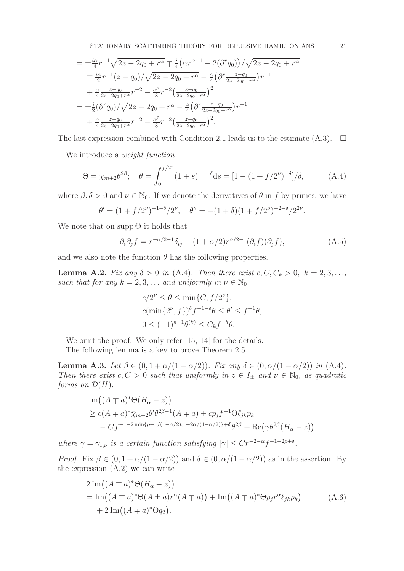$$
= \pm \frac{i\alpha}{4} r^{-1} \sqrt{2z - 2q_0 + r^{\alpha}} \mp \frac{i}{4} \left( \alpha r^{\alpha - 1} - 2(\partial^r q_0) \right) / \sqrt{2z - 2q_0 + r^{\alpha}}
$$
  

$$
= \frac{i\alpha}{2} r^{-1} (z - q_0) / \sqrt{2z - 2q_0 + r^{\alpha}} - \frac{\alpha}{4} \left( \partial^r \frac{z - q_0}{2z - 2q_0 + r^{\alpha}} \right) r^{-1}
$$
  

$$
+ \frac{\alpha}{4} \frac{z - q_0}{2z - 2q_0 + r^{\alpha}} r^{-2} - \frac{\alpha^2}{8} r^{-2} \left( \frac{z - q_0}{2z - 2q_0 + r^{\alpha}} \right)^2
$$
  

$$
= \pm \frac{i}{2} (\partial^r q_0) / \sqrt{2z - 2q_0 + r^{\alpha}} - \frac{\alpha}{4} \left( \partial^r \frac{z - q_0}{2z - 2q_0 + r^{\alpha}} \right) r^{-1}
$$
  

$$
+ \frac{\alpha}{4} \frac{z - q_0}{2z - 2q_0 + r^{\alpha}} r^{-2} - \frac{\alpha^2}{8} r^{-2} \left( \frac{z - q_0}{2z - 2q_0 + r^{\alpha}} \right)^2.
$$

The last expression combined with Condition 2.1 leads us to the estimate  $(A.3)$ .  $\Box$ 

We introduce a *weight function* 

$$
\Theta = \bar{\chi}_{m+2} \theta^{2\beta}; \quad \theta = \int_0^{f/2^{\nu}} (1+s)^{-1-\delta} ds = [1 - (1+f/2^{\nu})^{-\delta}]/\delta, \quad (A.4)
$$

where  $\beta, \delta > 0$  and  $\nu \in \mathbb{N}_0$ . If we denote the derivatives of  $\theta$  in f by primes, we have

$$
\theta' = (1 + f/2^{\nu})^{-1-\delta}/2^{\nu}, \quad \theta'' = -(1+\delta)(1 + f/2^{\nu})^{-2-\delta}/2^{2\nu}.
$$

We note that on supp  $\Theta$  it holds that

$$
\partial_i \partial_j f = r^{-\alpha/2 - 1} \delta_{ij} - (1 + \alpha/2) r^{\alpha/2 - 1} (\partial_i f)(\partial_j f), \tag{A.5}
$$

and we also note the function  $\theta$  has the following properties.

**Lemma A.2.** Fix any  $\delta > 0$  in (A.4). Then there exist  $c, C, C_k > 0, k = 2, 3, \ldots$ such that for any  $k = 2, 3, \ldots$  and uniformly in  $\nu \in \mathbb{N}_0$ 

$$
c/2^{\nu} \le \theta \le \min\{C, f/2^{\nu}\},
$$
  
 
$$
c(\min\{2^{\nu}, f\})^{\delta} f^{-1-\delta} \theta \le \theta' \le f^{-1}\theta,
$$
  
\n
$$
0 \le (-1)^{k-1}\theta^{(k)} \le C_k f^{-k}\theta.
$$

We omit the proof. We only refer [15, 14] for the details.

The following lemma is a key to prove Theorem 2.5.

Lemma A.3. Let  $\beta \in (0, 1 + \alpha/(1 - \alpha/2))$ . Fix any  $\delta \in (0, \alpha/(1 - \alpha/2))$  in (A.4). Then there exist  $c, C > 0$  such that uniformly in  $z \in I_{\pm}$  and  $\nu \in \mathbb{N}_0$ , as quadratic forms on  $\mathcal{D}(H)$ ,

Im 
$$
((A \mp a)^* \Theta(H_\alpha - z))
$$
  
\n $\geq c(A \mp a)^* \bar{\chi}_{m+2} \theta' \theta^{2\beta-1} (A \mp a) + c p_j f^{-1} \Theta \ell_{jk} p_k$   
\n $- Cf^{-1-2 \min{\rho+1/(1-\alpha/2), 1+2\alpha/(1-\alpha/2)} + \delta \theta^{2\beta}} + \text{Re}(\gamma \theta^{2\beta} (H_\alpha - z)),$ 

where  $\gamma = \gamma_{z,\nu}$  is a certain function satisfying  $|\gamma| \leq Cr^{-2-\alpha}f^{-1-2\rho+\delta}$ .

*Proof.* Fix  $\beta \in (0, 1 + \alpha/(1 - \alpha/2))$  and  $\delta \in (0, \alpha/(1 - \alpha/2))$  as in the assertion. By the expression  $(A.2)$  we can write

$$
2\operatorname{Im}((A \mp a)^*\Theta(H_{\alpha} - z))
$$
  
= Im $((A \mp a)^*\Theta(A \pm a)r^{\alpha}(A \mp a)) + \operatorname{Im}((A \mp a)^*\Theta p_jr^{\alpha}\ell_{jk}p_k)$   
+  $2\operatorname{Im}((A \mp a)^*\Theta q_2).$  (A.6)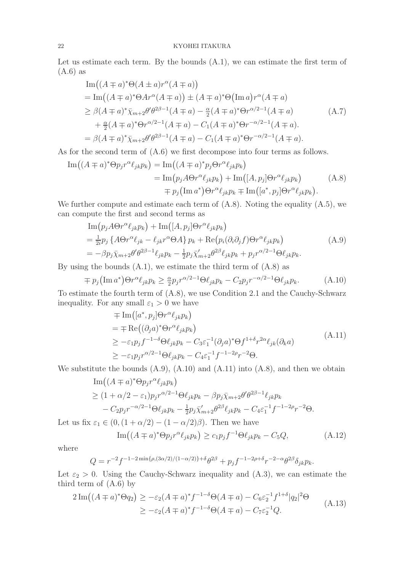### 22 KYOHEI ITAKURA

Let us estimate each term. By the bounds  $(A.1)$ , we can estimate the first term of (A.6) as

Im 
$$
((A \mp a)^* \Theta(A \pm a)r^{\alpha}(A \mp a))
$$
  
\n
$$
= Im((A \mp a)^* \Theta Ar^{\alpha}(A \mp a)) \pm (A \mp a)^* \Theta (Im a)r^{\alpha}(A \mp a)
$$
\n
$$
\geq \beta(A \mp a)^* \bar{\chi}_{m+2} \theta' \theta^{2\beta-1}(A \mp a) - \frac{\alpha}{2}(A \mp a)^* \Theta r^{\alpha/2-1}(A \mp a)
$$
\n
$$
+ \frac{\alpha}{2}(A \mp a)^* \Theta r^{\alpha/2-1}(A \mp a) - C_1(A \mp a)^* \Theta r^{-\alpha/2-1}(A \mp a).
$$
\n
$$
= \beta(A \mp a)^* \bar{\chi}_{m+2} \theta' \theta^{2\beta-1}(A \mp a) - C_1(A \mp a)^* \Theta r^{-\alpha/2-1}(A \mp a).
$$
\n(A.7)

As for the second term of  $(A.6)$  we first decompose into four terms as follows.

$$
\begin{split} \text{Im}\big((A \mp a)^* \Theta p_j r^{\alpha} \ell_{jk} p_k\big) &= \text{Im}\big((A \mp a)^* p_j \Theta r^{\alpha} \ell_{jk} p_k\big) \\ &= \text{Im}\big(p_j A \Theta r^{\alpha} \ell_{jk} p_k\big) + \text{Im}\big([A, p_j] \Theta r^{\alpha} \ell_{jk} p_k\big) \\ &\qquad \mp p_j \big(\text{Im}\,a^*\big) \Theta r^{\alpha} \ell_{jk} p_k \mp \text{Im}\big([a^*, p_j] \Theta r^{\alpha} \ell_{jk} p_k\big). \end{split} \tag{A.8}
$$

We further compute and estimate each term of  $(A.8)$ . Noting the equality  $(A.5)$ , we can compute the first and second terms as

$$
\begin{split} &\text{Im}\left(p_j A \Theta r^{\alpha} \ell_{jk} p_k\right) + \text{Im}\left([A, p_j] \Theta r^{\alpha} \ell_{jk} p_k\right) \\ &= \frac{1}{2i} p_j \left\{A \Theta r^{\alpha} \ell_{jk} - \ell_{jk} r^{\alpha} \Theta A\right\} p_k + \text{Re}\left(p_i(\partial_i \partial_j f) \Theta r^{\alpha} \ell_{jk} p_k\right) \\ &= -\beta p_j \bar{\chi}_{m+2} \theta' \theta^{2\beta-1} \ell_{jk} p_k - \frac{1}{2} p_j \bar{\chi}'_{m+2} \theta^{2\beta} \ell_{jk} p_k + p_j r^{\alpha/2-1} \Theta \ell_{jk} p_k. \end{split} \tag{A.9}
$$

By using the bounds  $(A.1)$ , we estimate the third term of  $(A.8)$  as

$$
\mp p_j \left( \operatorname{Im} a^* \right) \Theta r^{\alpha} \ell_{jk} p_k \ge \frac{\alpha}{2} p_j r^{\alpha/2 - 1} \Theta \ell_{jk} p_k - C_2 p_j r^{-\alpha/2 - 1} \Theta \ell_{jk} p_k. \tag{A.10}
$$

To estimate the fourth term of (A.8), we use Condition 2.1 and the Cauchy-Schwarz inequality. For any small  $\varepsilon_1 > 0$  we have

$$
\begin{split}\n&= \text{Im}\left([a^*, p_j] \Theta r^\alpha \ell_{jk} p_k\right) \\
&= \mp \text{Re}\left((\partial_j a)^* \Theta r^\alpha \ell_{jk} p_k\right) \\
&\geq -\varepsilon_1 p_j f^{-1-\delta} \Theta \ell_{jk} p_k - C_3 \varepsilon_1^{-1} (\partial_j a)^* \Theta f^{1+\delta} r^{2\alpha} \ell_{jk} (\partial_k a) \\
&\geq -\varepsilon_1 p_j r^{\alpha/2-1} \Theta \ell_{jk} p_k - C_4 \varepsilon_1^{-1} f^{-1-2\rho} r^{-2} \Theta.\n\end{split} \tag{A.11}
$$

We substitute the bounds  $(A.9)$ ,  $(A.10)$  and  $(A.11)$  into  $(A.8)$ , and then we obtain

Im 
$$
((A \mp a)^* \Theta p_j r^{\alpha} \ell_{jk} p_k)
$$
  
\n
$$
\geq (1 + \alpha/2 - \varepsilon_1) p_j r^{\alpha/2 - 1} \Theta \ell_{jk} p_k - \beta p_j \bar{\chi}_{m+2} \theta' \theta^{2\beta - 1} \ell_{jk} p_k
$$
\n
$$
- C_2 p_j r^{-\alpha/2 - 1} \Theta \ell_{jk} p_k - \frac{1}{2} p_j \bar{\chi}'_{m+2} \theta^{2\beta} \ell_{jk} p_k - C_4 \varepsilon_1^{-1} f^{-1 - 2\rho} r^{-2} \Theta.
$$

Let us fix  $\varepsilon_1 \in (0, (1 + \alpha/2) - (1 - \alpha/2)\beta)$ . Then we have

$$
\operatorname{Im}((A \mp a)^* \Theta p_j r^{\alpha} \ell_{jk} p_k) \ge c_1 p_j f^{-1} \Theta \ell_{jk} p_k - C_5 Q,\tag{A.12}
$$

where

$$
Q = r^{-2} f^{-1-2 \min\{\rho, (3\alpha/2)/(1-\alpha/2)\} + \delta} \theta^{2\beta} + p_j f^{-1-2\rho + \delta} r^{-2-\alpha} \theta^{2\beta} \delta_{jk} p_k.
$$

Let  $\varepsilon_2 > 0$ . Using the Cauchy-Schwarz inequality and  $(A.3)$ , we can estimate the third term of  $(A.6)$  by

$$
2\operatorname{Im}((A \mp a)^*\Theta q_2) \ge -\varepsilon_2 (A \mp a)^* f^{-1-\delta} \Theta(A \mp a) - C_6 \varepsilon_2^{-1} f^{1+\delta} |q_2|^2 \Theta
$$
  
 
$$
\ge -\varepsilon_2 (A \mp a)^* f^{-1-\delta} \Theta(A \mp a) - C_7 \varepsilon_2^{-1} Q.
$$
 (A.13)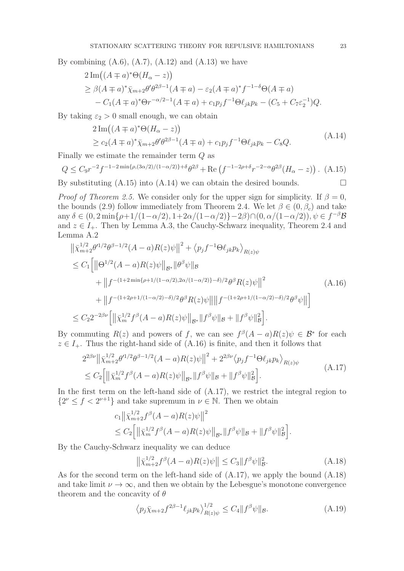By combining  $(A.6)$ ,  $(A.7)$ ,  $(A.12)$  and  $(A.13)$  we have

$$
2 \operatorname{Im}((A \mp a)^* \Theta(H_{\alpha} - z))
$$
  
\n
$$
\geq \beta(A \mp a)^* \bar{\chi}_{m+2} \theta' \theta^{2\beta - 1}(A \mp a) - \varepsilon_2(A \mp a)^* f^{-1-\delta} \Theta(A \mp a)
$$
  
\n
$$
- C_1(A \mp a)^* \Theta r^{-\alpha/2 - 1}(A \mp a) + c_1 p_j f^{-1} \Theta(\ell_{jk} p_k - (C_5 + C_7 \varepsilon_2^{-1}) Q).
$$

By taking  $\varepsilon_2 > 0$  small enough, we can obtain

$$
2 \operatorname{Im}((A \mp a)^* \Theta(H_{\alpha} - z))
$$
  
\n
$$
\geq c_2 (A \mp a)^* \bar{\chi}_{m+2} \theta' \theta^{2\beta - 1} (A \mp a) + c_1 p_j f^{-1} \Theta \ell_{jk} p_k - C_8 Q.
$$
\n(A.14)

Finally we estimate the remainder term Q as

$$
Q \leq C_9 r^{-2} f^{-1-2 \min\{\rho, (3\alpha/2)/(1-\alpha/2)\}+\delta} \theta^{2\beta} + \text{Re}\left(f^{-1-2\rho+\delta} r^{-2-\alpha} \theta^{2\beta} (H_\alpha - z)\right). \tag{A.15}
$$

By substituting  $(A.15)$  into  $(A.14)$  we can obtain the desired bounds.

*Proof of Theorem 2.5.* We consider only for the upper sign for simplicity. If  $\beta = 0$ , the bounds (2.9) follow immediately from Theorem 2.4. We let  $\beta \in (0, \beta_c)$  and take any  $\delta \in (0, 2 \min\{\rho + 1/(1 - \alpha/2), 1 + 2\alpha/(1 - \alpha/2)\} - 2\beta) \cap (0, \alpha/(1 - \alpha/2)), \psi \in f^{-\beta} \mathcal{B}$ and  $z \in I_+$ . Then by Lemma A.3, the Cauchy-Schwarz inequality, Theorem 2.4 and Lemma A.2

$$
\begin{split}\n\left\| \bar{\chi}_{m+2}^{1/2} \theta^{\beta - 1/2} (A - a) R(z) \psi \right\|^2 &+ \left\langle p_j f^{-1} \Theta \ell_{jk} p_k \right\rangle_{R(z) \psi} \\
&\leq C_1 \Big[ \left\| \Theta^{1/2} (A - a) R(z) \psi \right\|_{\mathcal{B}^*} \|\theta^{\beta} \psi\|_{\mathcal{B}} \\
&+ \left\| f^{-(1 + 2 \min\{\rho + 1/(1 - \alpha/2), 2\alpha/(1 - \alpha/2)\} - \delta)/2} \theta^{\beta} R(z) \psi \right\|^2 \\
&+ \left\| f^{-(1 + 2\rho + 1/(1 - \alpha/2) - \delta)/2} \theta^{\beta} R(z) \psi \right\| \left\| f^{-(1 + 2\rho + 1/(1 - \alpha/2) - \delta)/2} \theta^{\beta} \psi \right\| \Big] \\
&\leq C_2 2^{-2\beta \nu} \Big[ \left\| \bar{\chi}_m^{1/2} f^{\beta} (A - a) R(z) \psi \right\|_{\mathcal{B}^*} \left\| f^{\beta} \psi \right\|_{\mathcal{B}} + \left\| f^{\beta} \psi \right\|_{\mathcal{B}}^2 \Big].\n\end{split} \tag{A.16}
$$

By commuting  $R(z)$  and powers of f, we can see  $f^{\beta}(A-a)R(z)\psi \in \mathcal{B}^*$  for each  $z \in I_+$ . Thus the right-hand side of (A.16) is finite, and then it follows that

$$
2^{2\beta\nu} \left\| \bar{\chi}_{m+2}^{1/2} \theta^{1/2} \theta^{\beta-1/2} (A-a) R(z) \psi \right\|^2 + 2^{2\beta\nu} \left\langle p_j f^{-1} \Theta \ell_{jk} p_k \right\rangle_{R(z) \psi}
$$
  
 
$$
\leq C_2 \left[ \left\| \bar{\chi}_m^{1/2} f^{\beta} (A-a) R(z) \psi \right\|_{\mathcal{B}^*} \left\| f^{\beta} \psi \right\|_{\mathcal{B}} + \left\| f^{\beta} \psi \right\|_{\mathcal{B}}^2 \right].
$$
 (A.17)

In the first term on the left-hand side of (A.17), we restrict the integral region to  $\{2^{\nu} \le f < 2^{\nu+1}\}\$ and take supremum in  $\nu \in \mathbb{N}$ . Then we obtain

$$
c_1 \|\bar{\chi}_{m+2}^{1/2} f^{\beta}(A-a)R(z)\psi\|^2
$$
  
\n
$$
\leq C_2 \Big[ \|\bar{\chi}_m^{1/2} f^{\beta}(A-a)R(z)\psi\|_{\mathcal{B}^*} \|f^{\beta}\psi\|_{\mathcal{B}} + \|f^{\beta}\psi\|_{\mathcal{B}}^2 \Big].
$$

By the Cauchy-Schwarz inequality we can deduce

$$
\left\|\bar{\chi}_{m+2}^{1/2}f^{\beta}(A-a)R(z)\psi\right\| \leq C_3\|f^{\beta}\psi\|_{\mathcal{B}}^2.
$$
 (A.18)

As for the second term on the left-hand side of (A.17), we apply the bound (A.18) and take limit  $\nu \to \infty$ , and then we obtain by the Lebesgue's monotone convergence theorem and the concavity of  $\theta$ 

$$
\left\langle p_j \bar{\chi}_{m+2} f^{2\beta - 1} \ell_{jk} p_k \right\rangle_{R(z)\psi}^{1/2} \le C_4 \| f^\beta \psi \|_{\mathcal{B}}.
$$
\n(A.19)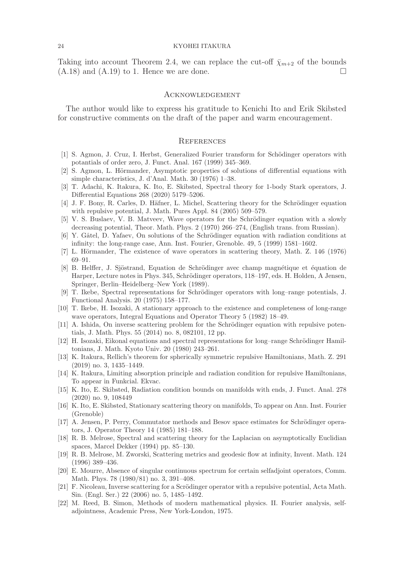Taking into account Theorem 2.4, we can replace the cut-off  $\bar{\chi}_{m+2}$  of the bounds  $(A.18)$  and  $(A.19)$  to 1. Hence we are done.

### **ACKNOWLEDGEMENT**

The author would like to express his gratitude to Kenichi Ito and Erik Skibsted for constructive comments on the draft of the paper and warm encouragement.

### **REFERENCES**

- [1] S. Agmon, J. Cruz, I. Herbst, Generalized Fourier transform for Schödinger operators with potantials of order zero, J. Funct. Anal. 167 (1999) 345–369.
- [2] S. Agmon, L. Hörmander, Asymptotic properties of solutions of differential equations with simple characteristics, J. d'Anal. Math. 30 (1976) 1–38.
- [3] T. Adachi, K. Itakura, K. Ito, E. Skibsted, Spectral theory for 1-body Stark operators, J. Differential Equations 268 (2020) 5179–5206.
- [4] J. F. Bony, R. Carles, D. Häfner, L. Michel, Scattering theory for the Schrödinger equation with repulsive potential, J. Math. Pures Appl. 84 (2005) 509–579.
- [5] V. S. Buslaev, V. B. Matveev, Wave operators for the Schrödinger equation with a slowly decreasing potential, Theor. Math. Phys. 2 (1970) 266–274, (English trans. from Russian).
- [6] Y. Gâtel, D. Yafaev, On solutions of the Schrödinger equation with radiation conditions at infinity: the long-range case, Ann. Inst. Fourier, Grenoble. 49, 5 (1999) 1581–1602.
- [7] L. Hörmander, The existence of wave operators in scattering theory, Math. Z. 146 (1976) 69–91.
- [8] B. Helffer, J. Sjöstrand, Equation de Schrödinger avec champ magnétique et équation de Harper, Lecture notes in Phys. 345, Schrödinger operators, 118–197, eds. H. Holden, A Jensen, Springer, Berlin–Heidelberg–New York (1989).
- [9] T. Ikebe, Spectral representations for Schrödinger operators with long–range potentials, J. Functional Analysis. 20 (1975) 158–177.
- [10] T. Ikebe, H. Isozaki, A stationary approach to the existence and completeness of long-range wave operators, Integral Equations and Operator Theory 5 (1982) 18–49.
- [11] A. Ishida, On inverse scattering problem for the Schrödinger equation with repulsive potentials, J. Math. Phys. 55 (2014) no. 8, 082101, 12 pp.
- [12] H. Isozaki, Eikonal equations and spectral representations for long–range Schrödinger Hamiltonians, J. Math. Kyoto Univ. 20 (1980) 243–261.
- [13] K. Itakura, Rellich's theorem for spherically symmetric repulsive Hamiltonians, Math. Z. 291 (2019) no. 3, 1435–1449.
- [14] K. Itakura, Limiting absorption principle and radiation condition for repulsive Hamiltonians, To appear in Funkcial. Ekvac.
- [15] K. Ito, E. Skibsted, Radiation condition bounds on manifolds with ends, J. Funct. Anal. 278 (2020) no. 9, 108449
- [16] K. Ito, E. Skibsted, Stationary scattering theory on manifolds, To appear on Ann. Inst. Fourier (Grenoble)
- [17] A. Jensen, P. Perry, Commutator methods and Besov space estimates for Schrödinger operators, J. Operator Theory 14 (1985) 181–188.
- [18] R. B. Melrose, Spectral and scattering theory for the Laplacian on asymptotically Euclidian spaces, Marcel Dekker (1994) pp. 85–130.
- [19] R. B. Melrose, M. Zworski, Scattering metrics and geodesic flow at infinity, Invent. Math. 124 (1996) 389–436.
- [20] E. Mourre, Absence of singular continuous spectrum for certain selfadjoint operators, Comm. Math. Phys. 78 (1980/81) no. 3, 391–408.
- [21] F. Nicoleau, Inverse scattering for a Scrödinger operator with a repulsive potential, Acta Math. Sin. (Engl. Ser.) 22 (2006) no. 5, 1485–1492.
- [22] M. Reed, B. Simon, Methods of modern mathematical physics. II. Fourier analysis, selfadjointness, Academic Press, New York-London, 1975.